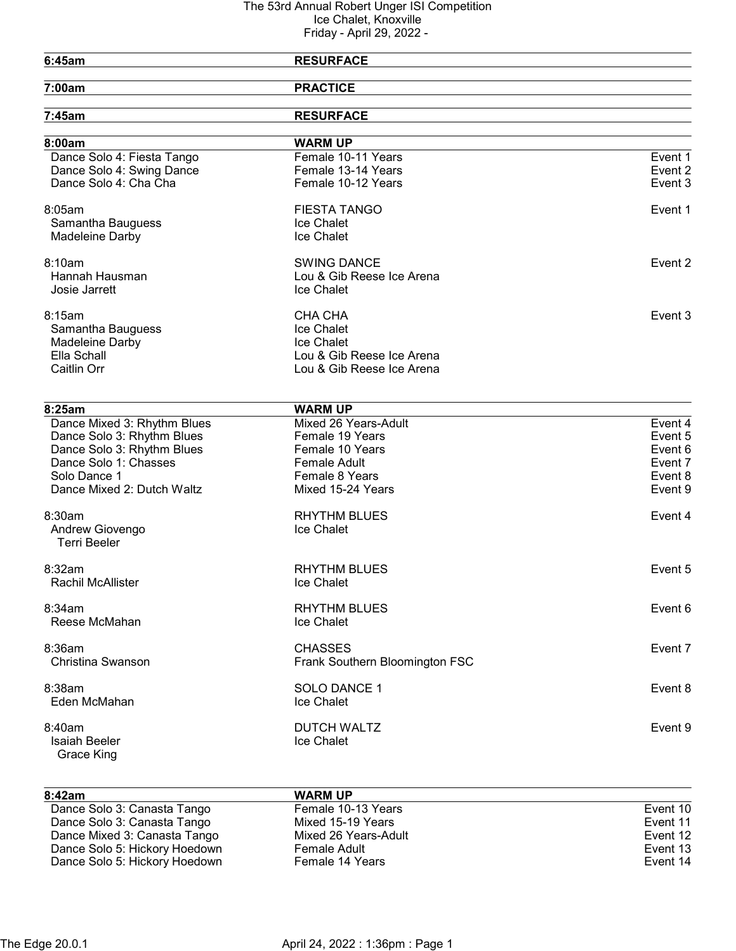| <b>RESURFACE</b>               |                                                                                                                                                                     |
|--------------------------------|---------------------------------------------------------------------------------------------------------------------------------------------------------------------|
| <b>PRACTICE</b>                |                                                                                                                                                                     |
| <b>RESURFACE</b>               |                                                                                                                                                                     |
| <b>WARM UP</b>                 |                                                                                                                                                                     |
| Female 10-11 Years             | Event 1                                                                                                                                                             |
| Female 13-14 Years             | Event 2                                                                                                                                                             |
| Female 10-12 Years             | Event 3                                                                                                                                                             |
| <b>FIESTA TANGO</b>            | Event 1                                                                                                                                                             |
| Ice Chalet                     |                                                                                                                                                                     |
| Ice Chalet                     |                                                                                                                                                                     |
| <b>SWING DANCE</b>             | Event 2                                                                                                                                                             |
| Lou & Gib Reese Ice Arena      |                                                                                                                                                                     |
| Ice Chalet                     |                                                                                                                                                                     |
|                                | Event 3                                                                                                                                                             |
|                                |                                                                                                                                                                     |
|                                |                                                                                                                                                                     |
| Lou & Gib Reese Ice Arena      |                                                                                                                                                                     |
| Lou & Gib Reese Ice Arena      |                                                                                                                                                                     |
|                                |                                                                                                                                                                     |
|                                | Event 4                                                                                                                                                             |
|                                | Event 5                                                                                                                                                             |
|                                | Event 6                                                                                                                                                             |
|                                | Event 7                                                                                                                                                             |
|                                | Event 8                                                                                                                                                             |
| Mixed 15-24 Years              | Event 9                                                                                                                                                             |
| <b>RHYTHM BLUES</b>            | Event 4                                                                                                                                                             |
| Ice Chalet                     |                                                                                                                                                                     |
|                                |                                                                                                                                                                     |
| <b>RHYTHM BLUES</b>            | Event 5                                                                                                                                                             |
| Ice Chalet                     |                                                                                                                                                                     |
| <b>RHYTHM BLUES</b>            | Event 6                                                                                                                                                             |
| Ice Chalet                     |                                                                                                                                                                     |
| <b>CHASSES</b>                 | Event 7                                                                                                                                                             |
| Frank Southern Bloomington FSC |                                                                                                                                                                     |
| SOLO DANCE 1                   | Event 8                                                                                                                                                             |
| Ice Chalet                     |                                                                                                                                                                     |
| <b>DUTCH WALTZ</b>             | Event 9                                                                                                                                                             |
| Ice Chalet                     |                                                                                                                                                                     |
|                                | <b>CHA CHA</b><br>Ice Chalet<br>Ice Chalet<br><b>WARM UP</b><br>Mixed 26 Years-Adult<br>Female 19 Years<br>Female 10 Years<br><b>Female Adult</b><br>Female 8 Years |

| 8:42am                        | <b>WARM UP</b>       |          |
|-------------------------------|----------------------|----------|
| Dance Solo 3: Canasta Tango   | Female 10-13 Years   | Event 10 |
| Dance Solo 3: Canasta Tango   | Mixed 15-19 Years    | Event 11 |
| Dance Mixed 3: Canasta Tango  | Mixed 26 Years-Adult | Event 12 |
| Dance Solo 5: Hickory Hoedown | Female Adult         | Event 13 |
| Dance Solo 5: Hickory Hoedown | Female 14 Years      | Event 14 |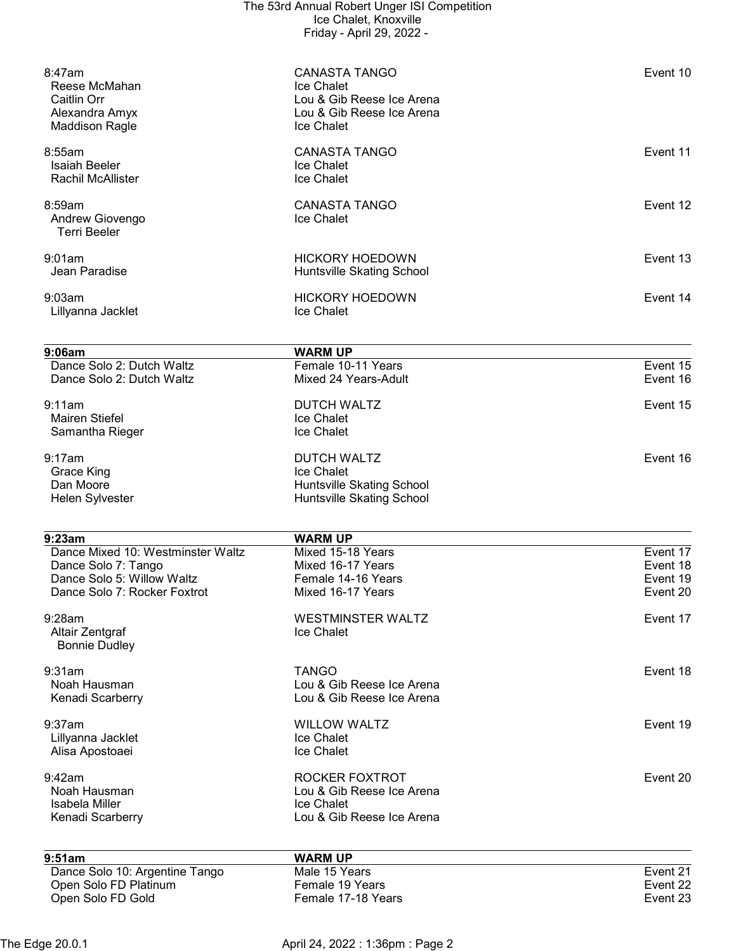|                                         | The 53rd Annual Robert Unger ISI Competition<br>Ice Chalet, Knoxville |          |
|-----------------------------------------|-----------------------------------------------------------------------|----------|
|                                         | Friday - April 29, 2022 -                                             |          |
|                                         |                                                                       |          |
| 8:47am                                  | <b>CANASTA TANGO</b>                                                  | Event 10 |
| Reese McMahan<br>Caitlin Orr            | Ice Chalet<br>Lou & Gib Reese Ice Arena                               |          |
| Alexandra Amyx                          | Lou & Gib Reese Ice Arena                                             |          |
| <b>Maddison Ragle</b>                   | Ice Chalet                                                            |          |
| 8:55am                                  | <b>CANASTA TANGO</b>                                                  | Event 11 |
| Isaiah Beeler                           | Ice Chalet                                                            |          |
| <b>Rachil McAllister</b>                | <b>Ice Chalet</b>                                                     |          |
| 8:59am                                  | <b>CANASTA TANGO</b>                                                  | Event 12 |
| Andrew Giovengo<br><b>Terri Beeler</b>  | Ice Chalet                                                            |          |
| 9:01am                                  | <b>HICKORY HOEDOWN</b>                                                | Event 13 |
| Jean Paradise                           | Huntsville Skating School                                             |          |
|                                         |                                                                       |          |
| 9:03am                                  | <b>HICKORY HOEDOWN</b>                                                | Event 14 |
| Lillyanna Jacklet                       | Ice Chalet                                                            |          |
| 9:06am                                  | <b>WARM UP</b>                                                        |          |
| Dance Solo 2: Dutch Waltz               | Female 10-11 Years                                                    | Event 15 |
| Dance Solo 2: Dutch Waltz               | Mixed 24 Years-Adult                                                  | Event 16 |
| 9:11am                                  | <b>DUTCH WALTZ</b>                                                    | Event 15 |
| <b>Mairen Stiefel</b>                   | Ice Chalet                                                            |          |
| Samantha Rieger                         | Ice Chalet                                                            |          |
| 9:17am                                  | <b>DUTCH WALTZ</b>                                                    | Event 16 |
| <b>Grace King</b>                       | Ice Chalet                                                            |          |
| Dan Moore                               | Huntsville Skating School                                             |          |
| Helen Sylvester                         | Huntsville Skating School                                             |          |
| 9:23am                                  | <b>WARM UP</b>                                                        |          |
| Dance Mixed 10: Westminster Waltz       | Mixed 15-18 Years                                                     | Event 17 |
| Dance Solo 7: Tango                     | Mixed 16-17 Years                                                     | Event 18 |
| Dance Solo 5: Willow Waltz              | Female 14-16 Years                                                    | Event 19 |
| Dance Solo 7: Rocker Foxtrot            | Mixed 16-17 Years                                                     | Event 20 |
| 9:28am                                  | <b>WESTMINSTER WALTZ</b>                                              | Event 17 |
| Altair Zentgraf<br><b>Bonnie Dudley</b> | Ice Chalet                                                            |          |
|                                         | <b>TANGO</b>                                                          | Event 18 |
| 9:31am<br>Noah Hausman                  | Lou & Gib Reese Ice Arena                                             |          |
| Kenadi Scarberry                        | Lou & Gib Reese Ice Arena                                             |          |
| 9:37am                                  | <b>WILLOW WALTZ</b>                                                   | Event 19 |
| Lillyanna Jacklet                       | Ice Chalet                                                            |          |
| Alisa Apostoaei                         | Ice Chalet                                                            |          |
| 9:42am                                  | ROCKER FOXTROT                                                        | Event 20 |
| Noah Hausman                            | Lou & Gib Reese Ice Arena                                             |          |
| Isabela Miller                          | Ice Chalet<br>Lou & Gib Reese Ice Arena                               |          |
| Kenadi Scarberry                        |                                                                       |          |

| 9:51am                         | <b>WARM UP</b>     |          |
|--------------------------------|--------------------|----------|
| Dance Solo 10: Argentine Tango | Male 15 Years      | Event 21 |
| Open Solo FD Platinum          | Female 19 Years    | Event 22 |
| Open Solo FD Gold              | Female 17-18 Years | Event 23 |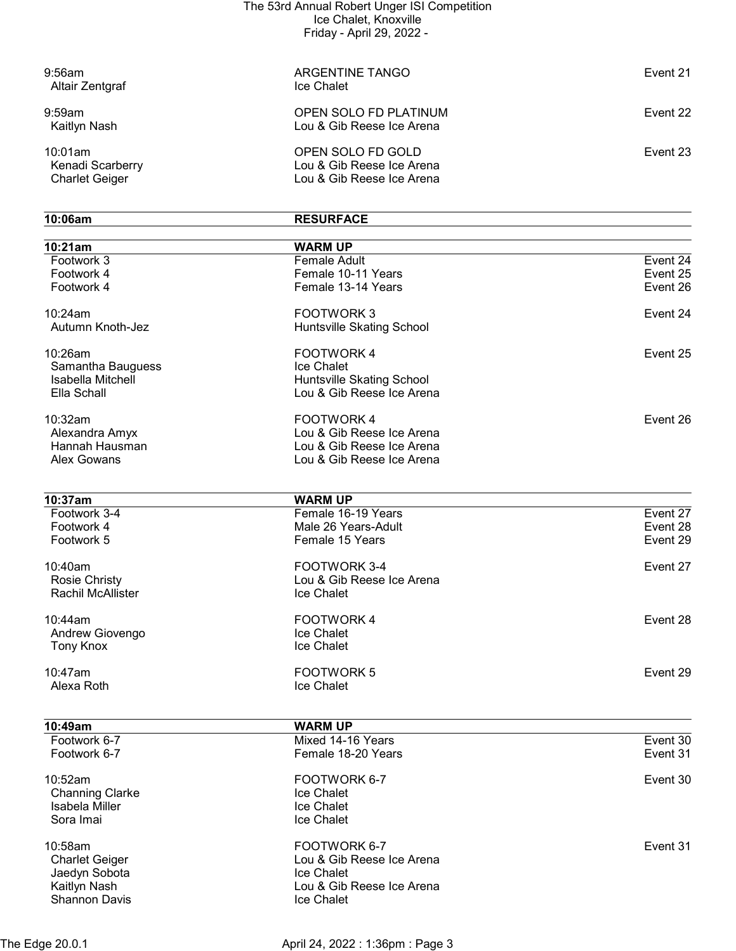| $9:56$ am<br>Altair Zentgraf                         | ARGENTINE TANGO<br>Ice Chalet                                               | Event 21 |
|------------------------------------------------------|-----------------------------------------------------------------------------|----------|
| $9:59$ am<br>Kaitlyn Nash                            | OPEN SOLO FD PLATINUM<br>Lou & Gib Reese Ice Arena                          | Event 22 |
| 10:01am<br>Kenadi Scarberry<br><b>Charlet Geiger</b> | OPEN SOLO FD GOLD<br>Lou & Gib Reese Ice Arena<br>Lou & Gib Reese Ice Arena | Event 23 |

| 10:06am                  | <b>RESURFACE</b>                     |          |
|--------------------------|--------------------------------------|----------|
| 10:21am                  | <b>WARM UP</b>                       |          |
| Footwork 3               | Female Adult                         | Event 24 |
| Footwork 4               | Female 10-11 Years                   | Event 25 |
| Footwork 4               | Female 13-14 Years                   | Event 26 |
| 10:24am                  | <b>FOOTWORK3</b>                     | Event 24 |
| Autumn Knoth-Jez         | Huntsville Skating School            |          |
| 10:26am                  | FOOTWORK 4                           | Event 25 |
| Samantha Bauguess        | Ice Chalet                           |          |
| Isabella Mitchell        | Huntsville Skating School            |          |
| Ella Schall              | Lou & Gib Reese Ice Arena            |          |
| 10:32am                  | <b>FOOTWORK4</b>                     | Event 26 |
| Alexandra Amyx           | Lou & Gib Reese Ice Arena            |          |
| Hannah Hausman           | Lou & Gib Reese Ice Arena            |          |
| Alex Gowans              | Lou & Gib Reese Ice Arena            |          |
|                          |                                      |          |
| 10:37am<br>Footwork 3-4  | <b>WARM UP</b><br>Female 16-19 Years | Event 27 |
|                          | Male 26 Years-Adult                  | Event 28 |
| Footwork 4<br>Footwork 5 | Female 15 Years                      | Event 29 |
|                          |                                      |          |
| 10:40am                  | FOOTWORK 3-4                         | Event 27 |
| <b>Rosie Christy</b>     | Lou & Gib Reese Ice Arena            |          |
| <b>Rachil McAllister</b> | Ice Chalet                           |          |
| 10:44am                  | <b>FOOTWORK4</b>                     | Event 28 |
| Andrew Giovengo          | Ice Chalet                           |          |
| <b>Tony Knox</b>         | Ice Chalet                           |          |
| 10:47am                  | <b>FOOTWORK 5</b>                    | Event 29 |
| Alexa Roth               | Ice Chalet                           |          |
|                          |                                      |          |
| 10:49am                  | <b>WARM UP</b>                       |          |
| Footwork 6-7             | Mixed 14-16 Years                    | Event 30 |
| Footwork 6-7             | Female 18-20 Years                   | Event 31 |
| 10:52am                  | FOOTWORK 6-7                         | Event 30 |
| <b>Channing Clarke</b>   | Ice Chalet                           |          |
| Isabela Miller           | Ice Chalet                           |          |
| Sora Imai                | Ice Chalet                           |          |
| 10:58am                  | FOOTWORK 6-7                         | Event 31 |
| <b>Charlet Geiger</b>    | Lou & Gib Reese Ice Arena            |          |
| Jaedyn Sobota            | Ice Chalet                           |          |
| Kaitlyn Nash             | Lou & Gib Reese Ice Arena            |          |
| Shannon Davis            | Ice Chalet                           |          |

The Edge 20.0.1 April 24, 2022 : 1:36pm : Page 3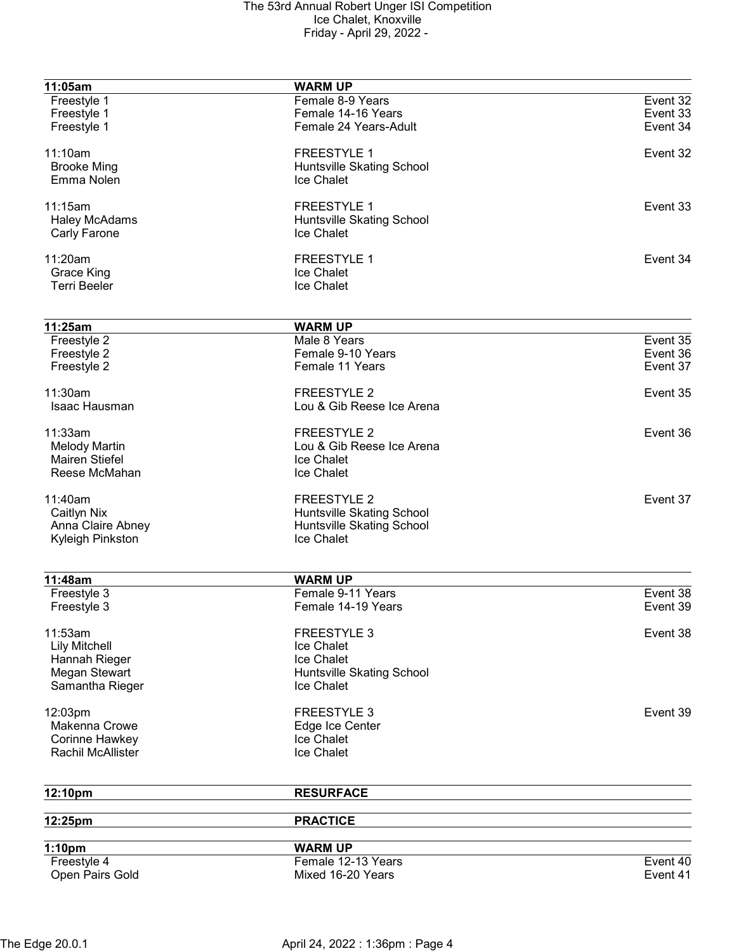| 11:05am                  | <b>WARM UP</b>            |          |
|--------------------------|---------------------------|----------|
| Freestyle 1              | Female 8-9 Years          | Event 32 |
| Freestyle 1              | Female 14-16 Years        | Event 33 |
| Freestyle 1              | Female 24 Years-Adult     | Event 34 |
|                          |                           |          |
| 11:10am                  | <b>FREESTYLE 1</b>        | Event 32 |
| <b>Brooke Ming</b>       | Huntsville Skating School |          |
| Emma Nolen               | Ice Chalet                |          |
|                          |                           |          |
| 11:15am                  | <b>FREESTYLE 1</b>        | Event 33 |
| <b>Haley McAdams</b>     | Huntsville Skating School |          |
| Carly Farone             | Ice Chalet                |          |
|                          |                           |          |
| 11:20am                  | <b>FREESTYLE 1</b>        | Event 34 |
| Grace King               | Ice Chalet                |          |
| <b>Terri Beeler</b>      | Ice Chalet                |          |
|                          |                           |          |
| 11:25am                  | <b>WARM UP</b>            |          |
| Freestyle 2              | Male 8 Years              | Event 35 |
|                          | Female 9-10 Years         | Event 36 |
| Freestyle 2              |                           |          |
| Freestyle 2              | Female 11 Years           | Event 37 |
| 11:30am                  | <b>FREESTYLE 2</b>        | Event 35 |
| Isaac Hausman            | Lou & Gib Reese Ice Arena |          |
|                          |                           |          |
| 11:33am                  | <b>FREESTYLE 2</b>        | Event 36 |
| <b>Melody Martin</b>     | Lou & Gib Reese Ice Arena |          |
| Mairen Stiefel           | Ice Chalet                |          |
| Reese McMahan            | Ice Chalet                |          |
|                          |                           |          |
| 11:40am                  | <b>FREESTYLE 2</b>        | Event 37 |
| Caitlyn Nix              | Huntsville Skating School |          |
| Anna Claire Abney        | Huntsville Skating School |          |
| Kyleigh Pinkston         | Ice Chalet                |          |
|                          |                           |          |
|                          |                           |          |
| 11:48am                  | <b>WARM UP</b>            |          |
| Freestyle 3              | Female 9-11 Years         | Event 38 |
| Freestyle 3              | Female 14-19 Years        | Event 39 |
| 11:53am                  | <b>FREESTYLE 3</b>        |          |
|                          | Ice Chalet                | Event 38 |
| <b>Lily Mitchell</b>     | <b>Ice Chalet</b>         |          |
| Hannah Rieger            |                           |          |
| Megan Stewart            | Huntsville Skating School |          |
| Samantha Rieger          | Ice Chalet                |          |
| 12:03pm                  | <b>FREESTYLE 3</b>        | Event 39 |
| Makenna Crowe            | Edge Ice Center           |          |
| Corinne Hawkey           | <b>Ice Chalet</b>         |          |
| <b>Rachil McAllister</b> | Ice Chalet                |          |
|                          |                           |          |
|                          |                           |          |
| 12:10pm                  | <b>RESURFACE</b>          |          |
| 12:25pm                  | <b>PRACTICE</b>           |          |
|                          |                           |          |
| 1:10pm                   | <b>WARM UP</b>            |          |
| Freestyle 4              | Female 12-13 Years        | Event 40 |
| Open Pairs Gold          | Mixed 16-20 Years         | Event 41 |
|                          |                           |          |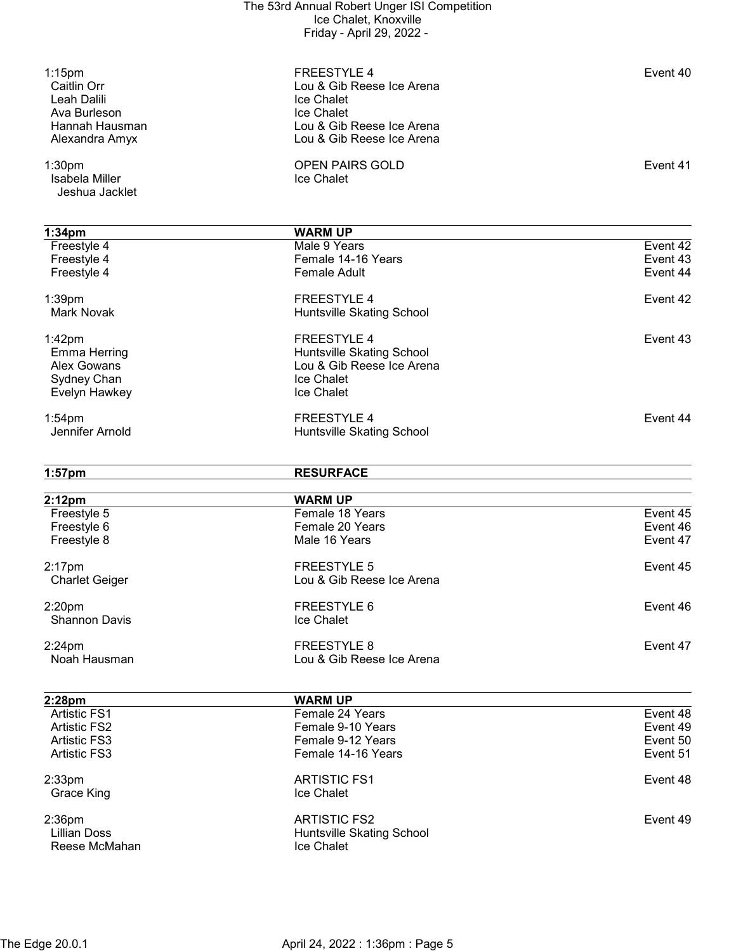| $1:15$ pm<br>Caitlin Orr<br>Leah Dalili | <b>FREESTYLE 4</b><br>Lou & Gib Reese Ice Arena<br>Ice Chalet | Event 40 |
|-----------------------------------------|---------------------------------------------------------------|----------|
| Ava Burleson                            | Ice Chalet                                                    |          |
| Hannah Hausman                          | Lou & Gib Reese Ice Arena                                     |          |
| Alexandra Amyx                          | Lou & Gib Reese Ice Arena                                     |          |
| 1:30 <sub>pm</sub>                      | <b>OPEN PAIRS GOLD</b>                                        | Event 41 |
| Isabela Miller                          | Ice Chalet                                                    |          |
| Jeshua Jacklet                          |                                                               |          |
|                                         |                                                               |          |
| 1:34 <sub>pm</sub>                      | <b>WARM UP</b>                                                |          |
| Freestyle 4                             | Male 9 Years                                                  | Event 42 |
| Freestyle 4                             | Female 14-16 Years                                            | Event 43 |
| Freestyle 4                             | <b>Female Adult</b>                                           | Event 44 |
| 1:39pm                                  | <b>FREESTYLE 4</b>                                            | Event 42 |
| <b>Mark Novak</b>                       | Huntsville Skating School                                     |          |
|                                         |                                                               |          |
| $1:42$ pm                               | <b>FREESTYLE 4</b>                                            | Event 43 |
| <b>Emma Herring</b>                     | Huntsville Skating School                                     |          |
| Alex Gowans                             | Lou & Gib Reese Ice Arena                                     |          |
| Sydney Chan                             | Ice Chalet                                                    |          |
| Evelyn Hawkey                           | Ice Chalet                                                    |          |
| $1:54$ pm                               | <b>FREESTYLE 4</b>                                            | Event 44 |
| Jennifer Arnold                         | Huntsville Skating School                                     |          |
|                                         |                                                               |          |
|                                         |                                                               |          |
|                                         |                                                               |          |
| $1:57$ pm                               | <b>RESURFACE</b>                                              |          |
| 2:12pm                                  | <b>WARM UP</b>                                                |          |
| Freestyle 5                             | Female 18 Years                                               | Event 45 |
| Freestyle 6                             | Female 20 Years                                               | Event 46 |
| Freestyle 8                             | Male 16 Years                                                 | Event 47 |
| $2:17$ pm                               | <b>FREESTYLE 5</b>                                            | Event 45 |
| <b>Charlet Geiger</b>                   | Lou & Gib Reese Ice Arena                                     |          |
|                                         |                                                               |          |
| 2:20 <sub>pm</sub>                      | FREESTYLE 6                                                   | Event 46 |
| <b>Shannon Davis</b>                    | Ice Chalet                                                    |          |
|                                         | <b>FREESTYLE 8</b>                                            | Event 47 |
| $2:24$ pm<br>Noah Hausman               | Lou & Gib Reese Ice Arena                                     |          |
|                                         |                                                               |          |
| 2:28pm                                  | <b>WARM UP</b>                                                |          |
| <b>Artistic FS1</b>                     | Female 24 Years                                               | Event 48 |
| <b>Artistic FS2</b>                     | Female 9-10 Years                                             | Event 49 |
| <b>Artistic FS3</b>                     | Female 9-12 Years                                             | Event 50 |
| <b>Artistic FS3</b>                     | Female 14-16 Years                                            | Event 51 |
|                                         |                                                               |          |
| $2:33$ pm                               | <b>ARTISTIC FS1</b>                                           | Event 48 |
| Grace King                              | Ice Chalet                                                    |          |
| $2:36$ pm                               | <b>ARTISTIC FS2</b>                                           | Event 49 |
| <b>Lillian Doss</b>                     | Huntsville Skating School                                     |          |
| Reese McMahan                           | Ice Chalet                                                    |          |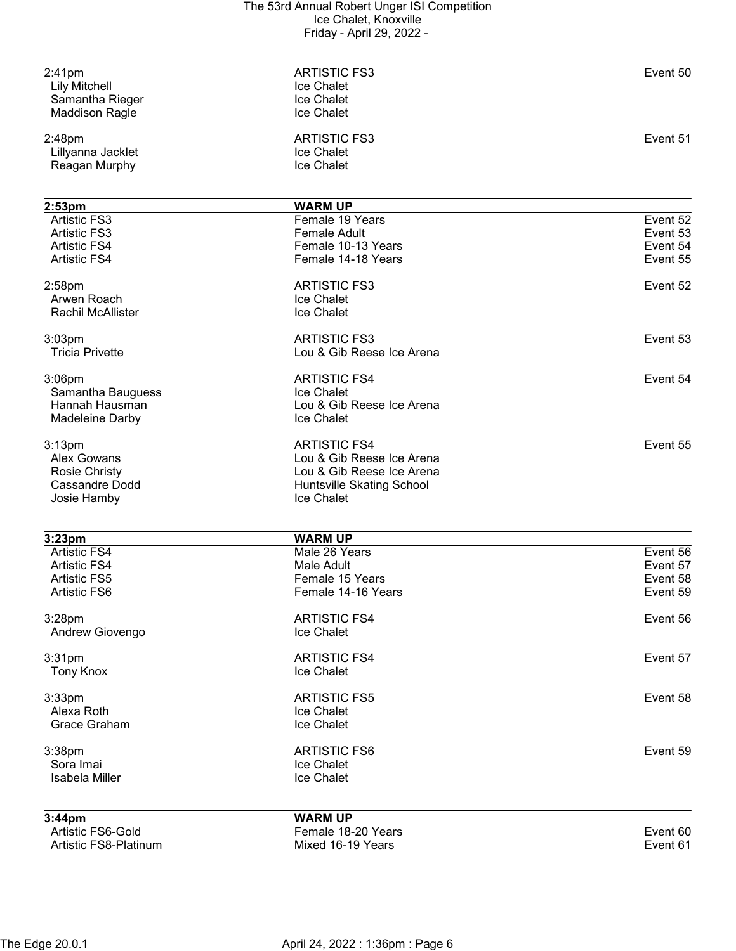| $2:41$ pm<br><b>Lily Mitchell</b><br>Samantha Rieger<br><b>Maddison Ragle</b> | <b>ARTISTIC FS3</b><br>Ice Chalet<br>Ice Chalet<br>Ice Chalet | Event 50 |
|-------------------------------------------------------------------------------|---------------------------------------------------------------|----------|
| 2:48pm<br>Lillyanna Jacklet<br>Reagan Murphy                                  | <b>ARTISTIC FS3</b><br>Ice Chalet<br>Ice Chalet               | Event 51 |
| 2:53 <sub>pm</sub>                                                            | <b>WARM UP</b>                                                |          |
| <b>Artistic FS3</b>                                                           | Female 19 Years                                               | Event 52 |
| <b>Artistic FS3</b>                                                           | <b>Female Adult</b>                                           | Event 53 |
| <b>Artistic FS4</b>                                                           | Female 10-13 Years                                            | Event 54 |
| <b>Artistic FS4</b>                                                           | Female 14-18 Years                                            | Event 55 |
| 2:58 <sub>pm</sub>                                                            | <b>ARTISTIC FS3</b>                                           | Event 52 |
| Arwen Roach                                                                   | Ice Chalet                                                    |          |
| <b>Rachil McAllister</b>                                                      | Ice Chalet                                                    |          |
| $3:03$ pm                                                                     | <b>ARTISTIC FS3</b>                                           | Event 53 |
| <b>Tricia Privette</b>                                                        | Lou & Gib Reese Ice Arena                                     |          |
|                                                                               |                                                               |          |
| 3:06pm                                                                        | <b>ARTISTIC FS4</b>                                           | Event 54 |
| Samantha Bauguess                                                             | Ice Chalet                                                    |          |
| Hannah Hausman                                                                | Lou & Gib Reese Ice Arena                                     |          |
| Madeleine Darby                                                               | Ice Chalet                                                    |          |
| 3:13 <sub>pm</sub>                                                            | <b>ARTISTIC FS4</b>                                           | Event 55 |
| <b>Alex Gowans</b>                                                            | Lou & Gib Reese Ice Arena                                     |          |
| <b>Rosie Christy</b>                                                          | Lou & Gib Reese Ice Arena                                     |          |
| <b>Cassandre Dodd</b>                                                         | Huntsville Skating School                                     |          |
| Josie Hamby                                                                   | Ice Chalet                                                    |          |
|                                                                               |                                                               |          |
| 3:23pm                                                                        | <b>WARM UP</b>                                                |          |
| <b>Artistic FS4</b>                                                           | Male 26 Years                                                 | Event 56 |
| <b>Artistic FS4</b>                                                           | Male Adult                                                    | Event 57 |
| <b>Artistic FS5</b>                                                           | Female 15 Years                                               | Event 58 |
| Artistic FS6                                                                  | Female 14-16 Years                                            | Event 59 |
| $3:28$ pm                                                                     | <b>ARTISTIC FS4</b>                                           | Event 56 |
| Andrew Giovengo                                                               | Ice Chalet                                                    |          |
| 3:31pm                                                                        | <b>ARTISTIC FS4</b>                                           | Event 57 |
| <b>Tony Knox</b>                                                              | Ice Chalet                                                    |          |
|                                                                               |                                                               |          |
| 3:33pm                                                                        | <b>ARTISTIC FS5</b>                                           | Event 58 |
| Alexa Roth                                                                    | Ice Chalet                                                    |          |
| Grace Graham                                                                  | Ice Chalet                                                    |          |
| 3:38pm                                                                        | <b>ARTISTIC FS6</b>                                           | Event 59 |
| Sora Imai                                                                     | Ice Chalet                                                    |          |
| <b>Isabela Miller</b>                                                         | Ice Chalet                                                    |          |
|                                                                               |                                                               |          |
| 3:44pm                                                                        | <b>WARM UP</b>                                                |          |
| Artistic FS6-Gold                                                             | Female 18-20 Years                                            | Event 60 |
| Artistic FS8-Platinum                                                         | Mixed 16-19 Years                                             | Event 61 |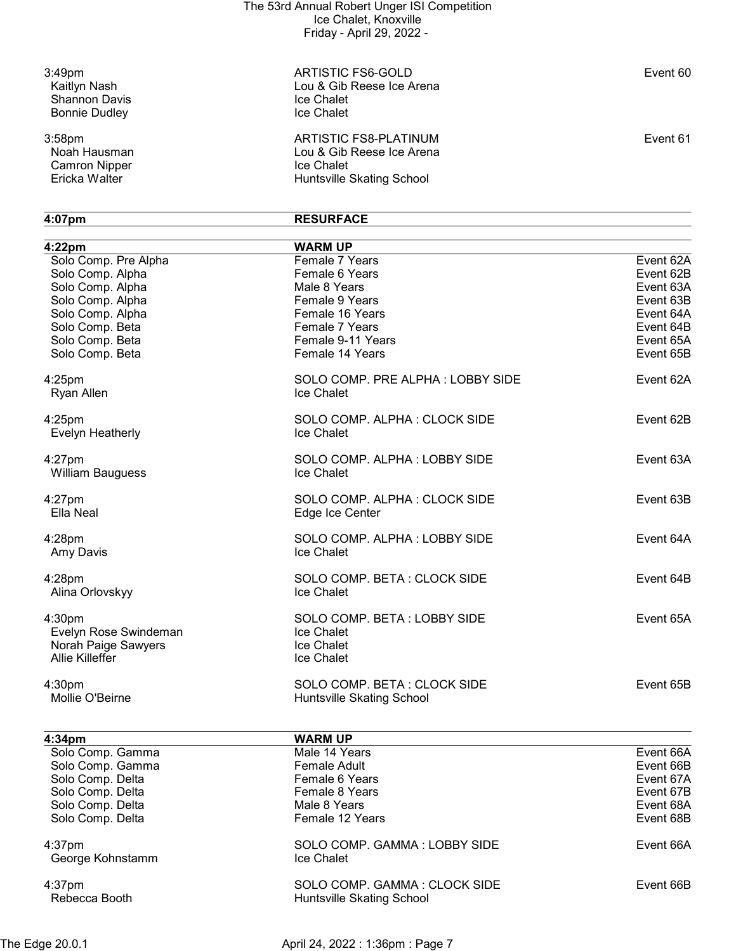Shannon Davis<br>
Bonnie Dudley<br>
Ice Chalet<br>
Ice Chalet Bonnie Dudley

Camron Nipper<br>Ericka Walter

3:49pm ARTISTIC FS6-GOLD Event 60 Lou & Gib Reese Ice Arena<br>Ice Chalet

3:58pm ARTISTIC FS8-PLATINUM Event 61 Lou & Gib Reese Ice Arena<br>Ice Chalet Huntsville Skating School

# 4:07pm RESURFACE

| 4:22 <sub>pm</sub>           | <b>WARM UP</b>                            |           |
|------------------------------|-------------------------------------------|-----------|
| Solo Comp. Pre Alpha         | Female 7 Years                            | Event 62A |
| Solo Comp. Alpha             | Female 6 Years                            | Event 62B |
| Solo Comp. Alpha             | Male 8 Years                              | Event 63A |
| Solo Comp. Alpha             | Female 9 Years                            | Event 63B |
| Solo Comp. Alpha             | Female 16 Years                           | Event 64A |
| Solo Comp. Beta              | Female 7 Years                            | Event 64B |
|                              | Female 9-11 Years                         |           |
| Solo Comp. Beta              |                                           | Event 65A |
| Solo Comp. Beta              | Female 14 Years                           | Event 65B |
| $4:25$ pm                    | SOLO COMP. PRE ALPHA: LOBBY SIDE          | Event 62A |
| Ryan Allen                   | Ice Chalet                                |           |
| $4:25$ pm                    | SOLO COMP. ALPHA: CLOCK SIDE              | Event 62B |
| Evelyn Heatherly             | Ice Chalet                                |           |
| $4:27$ pm                    | SOLO COMP. ALPHA: LOBBY SIDE              | Event 63A |
| <b>William Bauguess</b>      | Ice Chalet                                |           |
| $4:27$ pm                    | SOLO COMP. ALPHA: CLOCK SIDE              | Event 63B |
| Ella Neal                    | Edge Ice Center                           |           |
| 4:28pm                       | SOLO COMP. ALPHA: LOBBY SIDE              | Event 64A |
| Amy Davis                    | Ice Chalet                                |           |
|                              |                                           |           |
| $4:28$ pm<br>Alina Orlovskyy | SOLO COMP. BETA: CLOCK SIDE<br>Ice Chalet | Event 64B |
|                              |                                           |           |
| 4:30pm                       | SOLO COMP. BETA: LOBBY SIDE               | Event 65A |
| Evelyn Rose Swindeman        | Ice Chalet                                |           |
| Norah Paige Sawyers          | Ice Chalet                                |           |
| Allie Killeffer              | Ice Chalet                                |           |
| 4:30pm                       | SOLO COMP. BETA: CLOCK SIDE               | Event 65B |
| Mollie O'Beirne              | Huntsville Skating School                 |           |
|                              |                                           |           |
| 4:34pm                       | <b>WARM UP</b>                            |           |
| Solo Comp. Gamma             | Male 14 Years                             | Event 66A |
| Solo Comp. Gamma             | <b>Female Adult</b>                       | Event 66B |
| Solo Comp. Delta             | Female 6 Years                            | Event 67A |
| Solo Comp. Delta             | Female 8 Years                            | Event 67B |
| Solo Comp. Delta             | Male 8 Years                              | Event 68A |
| Solo Comp. Delta             | Female 12 Years                           | Event 68B |
| 4:37pm                       | SOLO COMP. GAMMA: LOBBY SIDE              | Event 66A |
| George Kohnstamm             | Ice Chalet                                |           |
| 4:37pm                       | SOLO COMP. GAMMA: CLOCK SIDE              | Event 66B |
| Rebecca Booth                | Huntsville Skating School                 |           |
|                              |                                           |           |

The Edge 20.0.1 **April 24, 2022 : 1:36pm : Page 7**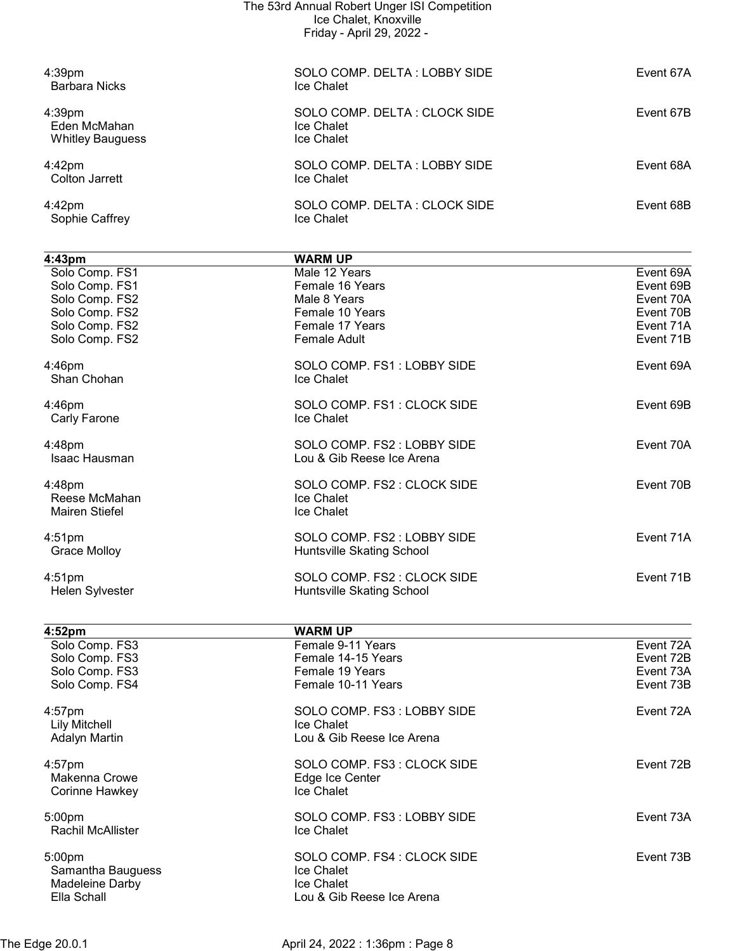| The 53rd Annual Robert Unger ISI Competition<br>Ice Chalet, Knoxville<br>Friday - April 29, 2022 -       |                                                                                                               |                                                                            |
|----------------------------------------------------------------------------------------------------------|---------------------------------------------------------------------------------------------------------------|----------------------------------------------------------------------------|
| 4:39 <sub>pm</sub><br><b>Barbara Nicks</b>                                                               | SOLO COMP. DELTA: LOBBY SIDE<br>Ice Chalet                                                                    | Event 67A                                                                  |
| 4:39pm<br>Eden McMahan<br><b>Whitley Bauguess</b>                                                        | SOLO COMP. DELTA: CLOCK SIDE<br>Ice Chalet<br>Ice Chalet                                                      | Event 67B                                                                  |
| $4:42$ pm<br><b>Colton Jarrett</b>                                                                       | SOLO COMP. DELTA: LOBBY SIDE<br><b>Ice Chalet</b>                                                             | Event 68A                                                                  |
| 4:42pm<br>Sophie Caffrey                                                                                 | SOLO COMP. DELTA: CLOCK SIDE<br>Ice Chalet                                                                    | Event 68B                                                                  |
| 4:43pm                                                                                                   | <b>WARM UP</b>                                                                                                |                                                                            |
| Solo Comp. FS1<br>Solo Comp. FS1<br>Solo Comp. FS2<br>Solo Comp. FS2<br>Solo Comp. FS2<br>Solo Comp. FS2 | Male 12 Years<br>Female 16 Years<br>Male 8 Years<br>Female 10 Years<br>Female 17 Years<br><b>Female Adult</b> | Event 69A<br>Event 69B<br>Event 70A<br>Event 70B<br>Event 71A<br>Event 71B |
| 4:46pm<br>Shan Chohan                                                                                    | SOLO COMP. FS1: LOBBY SIDE<br>Ice Chalet                                                                      | Event 69A                                                                  |
| $4:46$ pm<br>Carly Farone                                                                                | SOLO COMP. FS1: CLOCK SIDE<br>Ice Chalet                                                                      | Event 69B                                                                  |
| 4:48pm<br>Isaac Hausman                                                                                  | SOLO COMP. FS2 : LOBBY SIDE<br>Lou & Gib Reese Ice Arena                                                      | Event 70A                                                                  |
| 4:48pm<br>Reese McMahan<br><b>Mairen Stiefel</b>                                                         | SOLO COMP. FS2 : CLOCK SIDE<br>Ice Chalet<br>Ice Chalet                                                       | Event 70B                                                                  |
| 4:51 <sub>pm</sub><br><b>Grace Molloy</b>                                                                | SOLO COMP. FS2: LOBBY SIDE<br>Huntsville Skating School                                                       | Event 71A                                                                  |
| $4:51$ pm<br>Helen Sylvester                                                                             | SOLO COMP. FS2 : CLOCK SIDE<br>Huntsville Skating School                                                      | Event 71B                                                                  |
| 4:52pm<br>Solo Comp. FS3<br>Solo Comp. FS3<br>Solo Comp. FS3<br>Solo Comp. FS4                           | <b>WARM UP</b><br>Female 9-11 Years<br>Female 14-15 Years<br>Female 19 Years<br>Female 10-11 Years            | Event 72A<br>Event 72B<br>Event 73A<br>Event 73B                           |
| 4:57pm<br><b>Lily Mitchell</b><br><b>Adalyn Martin</b>                                                   | SOLO COMP. FS3: LOBBY SIDE<br>Ice Chalet<br>Lou & Gib Reese Ice Arena                                         | Event 72A                                                                  |
| 4:57pm<br>Makenna Crowe<br>Corinne Hawkey                                                                | SOLO COMP. FS3: CLOCK SIDE<br>Edge Ice Center<br>Ice Chalet                                                   | Event 72B                                                                  |
| 5:00pm<br>Rachil McAllister                                                                              | SOLO COMP. FS3: LOBBY SIDE<br>Ice Chalet                                                                      | Event 73A                                                                  |
| 5:00pm                                                                                                   | SOLO COMP. FS4 : CLOCK SIDE                                                                                   | Event 73B                                                                  |

Samantha Bauguess **In the Samantha Bauguess Ice Chalet** Madeleine Darby **Internal and Contact Chalet** 

Lou & Gib Reese Ice Arena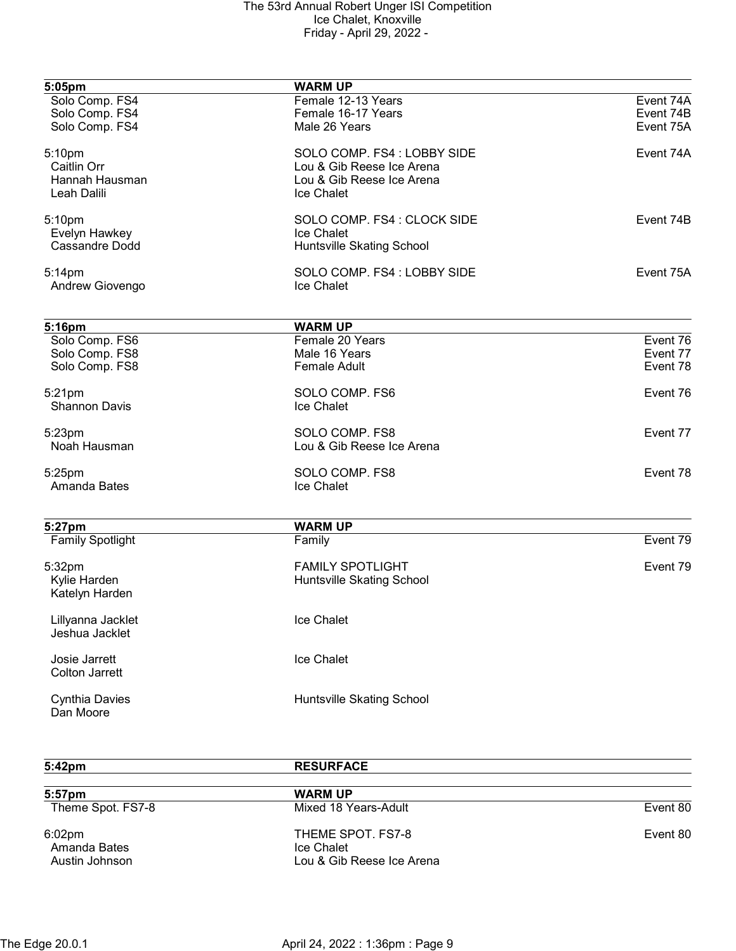| 5:05pm                  | <b>WARM UP</b>              |           |
|-------------------------|-----------------------------|-----------|
| Solo Comp. FS4          | Female 12-13 Years          | Event 74A |
| Solo Comp. FS4          | Female 16-17 Years          | Event 74B |
| Solo Comp. FS4          | Male 26 Years               | Event 75A |
| 5:10pm                  | SOLO COMP. FS4 : LOBBY SIDE | Event 74A |
| Caitlin Orr             | Lou & Gib Reese Ice Arena   |           |
| Hannah Hausman          | Lou & Gib Reese Ice Arena   |           |
| Leah Dalili             | Ice Chalet                  |           |
| 5:10pm                  | SOLO COMP. FS4 : CLOCK SIDE | Event 74B |
| Evelyn Hawkey           | Ice Chalet                  |           |
| Cassandre Dodd          | Huntsville Skating School   |           |
| 5:14pm                  | SOLO COMP. FS4: LOBBY SIDE  | Event 75A |
| Andrew Giovengo         | Ice Chalet                  |           |
| 5:16pm                  | <b>WARM UP</b>              |           |
| Solo Comp. FS6          | Female 20 Years             | Event 76  |
| Solo Comp. FS8          | Male 16 Years               | Event 77  |
| Solo Comp. FS8          | <b>Female Adult</b>         | Event 78  |
|                         |                             |           |
| 5:21pm                  | SOLO COMP. FS6              | Event 76  |
| <b>Shannon Davis</b>    | Ice Chalet                  |           |
| 5:23pm                  | SOLO COMP. FS8              | Event 77  |
| Noah Hausman            | Lou & Gib Reese Ice Arena   |           |
| 5:25pm                  | SOLO COMP. FS8              | Event 78  |
| Amanda Bates            | Ice Chalet                  |           |
|                         |                             |           |
| 5:27pm                  | <b>WARM UP</b>              | Event 79  |
| <b>Family Spotlight</b> | Family                      |           |
| 5:32pm                  | <b>FAMILY SPOTLIGHT</b>     | Event 79  |
| Kylie Harden            | Huntsville Skating School   |           |
| Katelyn Harden          |                             |           |
| Lillyanna Jacklet       | Ice Chalet                  |           |
| Jeshua Jacklet          |                             |           |
| Josie Jarrett           | Ice Chalet                  |           |
| <b>Colton Jarrett</b>   |                             |           |
| <b>Cynthia Davies</b>   | Huntsville Skating School   |           |
| Dan Moore               |                             |           |

| 5:42 <sub>pm</sub>                                   | <b>RESURFACE</b>                                             |          |
|------------------------------------------------------|--------------------------------------------------------------|----------|
| 5:57pm                                               | <b>WARM UP</b>                                               |          |
| Theme Spot. FS7-8                                    | Mixed 18 Years-Adult                                         | Event 80 |
| 6:02 <sub>pm</sub><br>Amanda Bates<br>Austin Johnson | THEME SPOT. FS7-8<br>Ice Chalet<br>Lou & Gib Reese Ice Arena | Event 80 |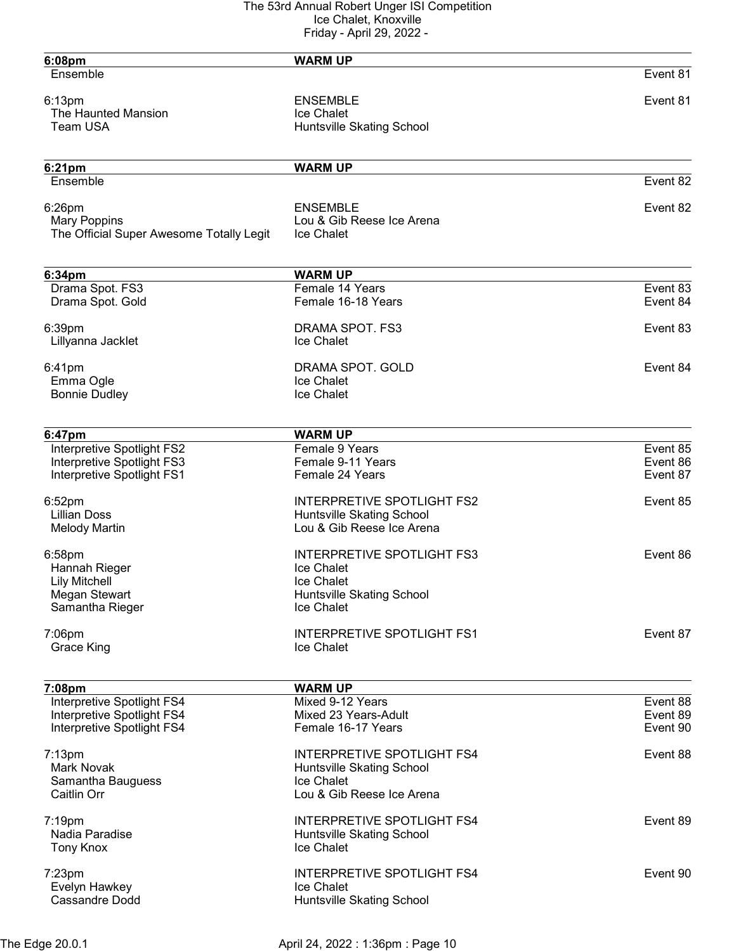| 6:08pm                                   | <b>WARM UP</b>                          |          |
|------------------------------------------|-----------------------------------------|----------|
| Ensemble                                 |                                         | Event 81 |
| 6:13pm                                   | <b>ENSEMBLE</b>                         | Event 81 |
| The Haunted Mansion                      | Ice Chalet                              |          |
| Team USA                                 | Huntsville Skating School               |          |
|                                          |                                         |          |
| 6:21pm                                   | <b>WARM UP</b>                          |          |
| Ensemble                                 |                                         | Event 82 |
| 6:26pm                                   | <b>ENSEMBLE</b>                         | Event 82 |
| <b>Mary Poppins</b>                      | Lou & Gib Reese Ice Arena               |          |
| The Official Super Awesome Totally Legit | Ice Chalet                              |          |
|                                          |                                         |          |
| 6:34pm<br>Drama Spot. FS3                | <b>WARM UP</b><br>Female 14 Years       | Event 83 |
| Drama Spot. Gold                         | Female 16-18 Years                      | Event 84 |
| 6:39pm                                   | DRAMA SPOT. FS3                         | Event 83 |
| Lillyanna Jacklet                        | Ice Chalet                              |          |
| 6:41pm                                   | DRAMA SPOT. GOLD                        | Event 84 |
| Emma Ogle                                | Ice Chalet                              |          |
| <b>Bonnie Dudley</b>                     | Ice Chalet                              |          |
|                                          |                                         |          |
| 6:47pm<br>Interpretive Spotlight FS2     | <b>WARM UP</b><br>Female 9 Years        | Event 85 |
| Interpretive Spotlight FS3               | Female 9-11 Years                       | Event 86 |
| Interpretive Spotlight FS1               | Female 24 Years                         | Event 87 |
| 6:52pm                                   | <b>INTERPRETIVE SPOTLIGHT FS2</b>       | Event 85 |
| <b>Lillian Doss</b>                      | Huntsville Skating School               |          |
| <b>Melody Martin</b>                     | Lou & Gib Reese Ice Arena               |          |
| 6:58pm                                   | <b>INTERPRETIVE SPOTLIGHT FS3</b>       | Event 86 |
| Hannah Rieger                            | Ice Chalet                              |          |
| <b>Lily Mitchell</b>                     | Ice Chalet                              |          |
| Megan Stewart<br>Samantha Rieger         | Huntsville Skating School<br>Ice Chalet |          |
| 7:06pm                                   | <b>INTERPRETIVE SPOTLIGHT FS1</b>       | Event 87 |
| <b>Grace King</b>                        | Ice Chalet                              |          |
|                                          |                                         |          |
| 7:08pm<br>Interpretive Spotlight FS4     | <b>WARM UP</b><br>Mixed 9-12 Years      | Event 88 |
| Interpretive Spotlight FS4               | Mixed 23 Years-Adult                    | Event 89 |
| Interpretive Spotlight FS4               | Female 16-17 Years                      | Event 90 |
| $7:13$ pm                                | <b>INTERPRETIVE SPOTLIGHT FS4</b>       | Event 88 |
| <b>Mark Novak</b>                        | Huntsville Skating School               |          |
| Samantha Bauguess                        | Ice Chalet                              |          |
| Caitlin Orr                              | Lou & Gib Reese Ice Arena               |          |
| 7:19pm                                   | <b>INTERPRETIVE SPOTLIGHT FS4</b>       | Event 89 |
| Nadia Paradise                           | Huntsville Skating School               |          |
| Tony Knox                                | Ice Chalet                              |          |
| $7:23$ pm                                | <b>INTERPRETIVE SPOTLIGHT FS4</b>       | Event 90 |
| Evelyn Hawkey                            | Ice Chalet                              |          |
| <b>Cassandre Dodd</b>                    | Huntsville Skating School               |          |
|                                          |                                         |          |

The Edge 20.0.1 April 24, 2022 : 1:36pm : Page 10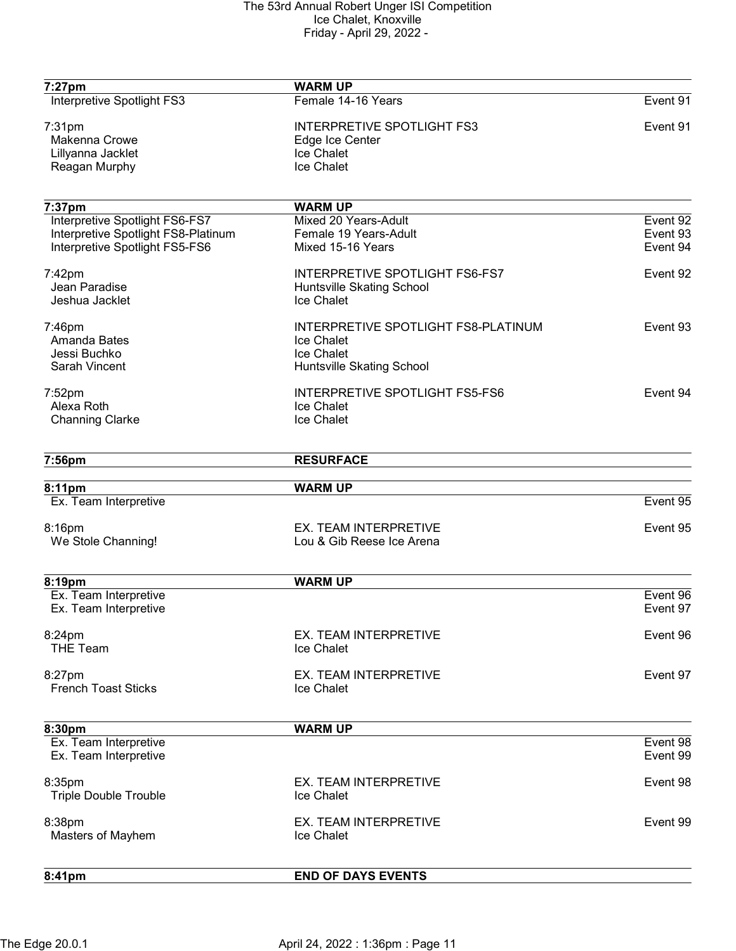| 7:27pm                              | <b>WARM UP</b>                        |          |
|-------------------------------------|---------------------------------------|----------|
| Interpretive Spotlight FS3          | Female 14-16 Years                    | Event 91 |
| 7:31pm                              | <b>INTERPRETIVE SPOTLIGHT FS3</b>     | Event 91 |
| <b>Makenna Crowe</b>                | Edge Ice Center                       |          |
| Lillyanna Jacklet                   | <b>Ice Chalet</b>                     |          |
| Reagan Murphy                       | Ice Chalet                            |          |
| 7:37pm                              | <b>WARM UP</b>                        |          |
| Interpretive Spotlight FS6-FS7      | Mixed 20 Years-Adult                  | Event 92 |
| Interpretive Spotlight FS8-Platinum | Female 19 Years-Adult                 | Event 93 |
| Interpretive Spotlight FS5-FS6      | Mixed 15-16 Years                     | Event 94 |
| 7:42pm                              | <b>INTERPRETIVE SPOTLIGHT FS6-FS7</b> | Event 92 |
| Jean Paradise                       | Huntsville Skating School             |          |
| Jeshua Jacklet                      | Ice Chalet                            |          |
| 7:46pm                              | INTERPRETIVE SPOTLIGHT FS8-PLATINUM   | Event 93 |
| Amanda Bates                        | Ice Chalet                            |          |
| Jessi Buchko                        | Ice Chalet                            |          |
| Sarah Vincent                       | Huntsville Skating School             |          |
| 7:52pm                              | INTERPRETIVE SPOTLIGHT FS5-FS6        | Event 94 |
| Alexa Roth                          | Ice Chalet                            |          |
| <b>Channing Clarke</b>              | Ice Chalet                            |          |
| 7:56pm                              | <b>RESURFACE</b>                      |          |
| 8:11pm                              | <b>WARM UP</b>                        |          |
| Ex. Team Interpretive               |                                       | Event 95 |
| 8:16pm                              | EX. TEAM INTERPRETIVE                 | Event 95 |
| We Stole Channing!                  | Lou & Gib Reese Ice Arena             |          |
|                                     |                                       |          |
| 8:19pm                              | <b>WARM UP</b>                        |          |
| Ex. Team Interpretive               |                                       | Event 96 |
| Ex. Team Interpretive               |                                       | Event 97 |
| 8:24pm                              | EX. TEAM INTERPRETIVE                 | Event 96 |
| <b>THE Team</b>                     | Ice Chalet                            |          |
| 8:27pm                              | EX. TEAM INTERPRETIVE                 | Event 97 |
| <b>French Toast Sticks</b>          | Ice Chalet                            |          |
| 8:30pm                              | <b>WARM UP</b>                        |          |
| Ex. Team Interpretive               |                                       | Event 98 |
| Ex. Team Interpretive               |                                       | Event 99 |
| 8:35pm                              | EX. TEAM INTERPRETIVE                 | Event 98 |
| <b>Triple Double Trouble</b>        | Ice Chalet                            |          |
| 8:38pm                              | EX. TEAM INTERPRETIVE                 | Event 99 |
| Masters of Mayhem                   | Ice Chalet                            |          |
| 8:41pm                              | <b>END OF DAYS EVENTS</b>             |          |
|                                     |                                       |          |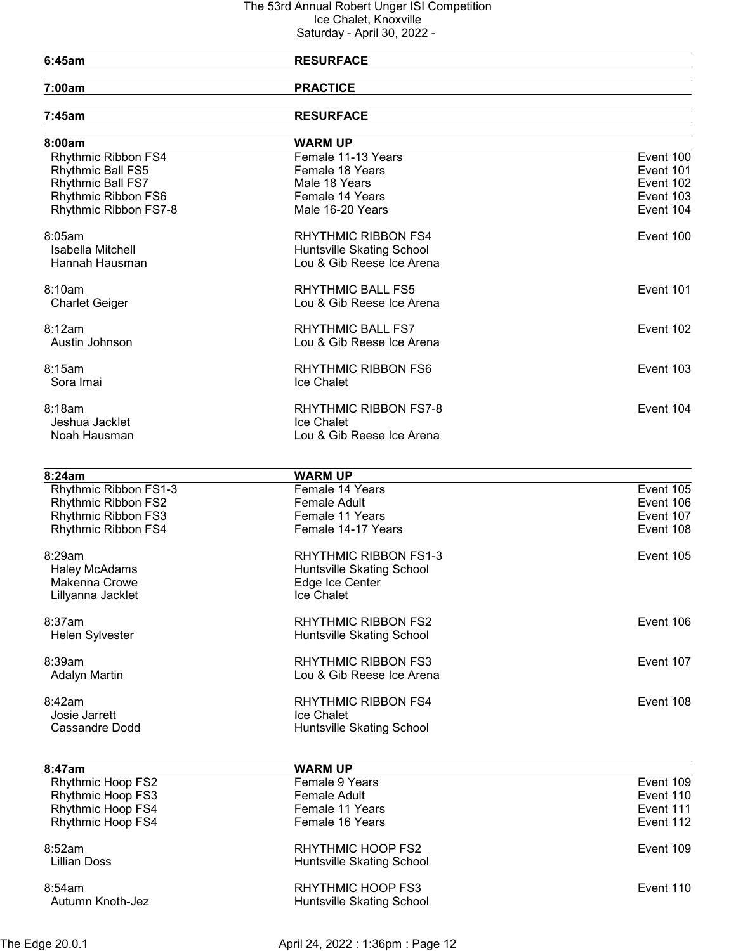## 6:45am RESURFACE

7:00am PRACTICE

| 7:45am                   | <b>RESURFACE</b>             |           |
|--------------------------|------------------------------|-----------|
| 8:00am                   | <b>WARM UP</b>               |           |
| Rhythmic Ribbon FS4      | Female 11-13 Years           | Event 100 |
| Rhythmic Ball FS5        | Female 18 Years              | Event 101 |
| Rhythmic Ball FS7        | Male 18 Years                | Event 102 |
| Rhythmic Ribbon FS6      | Female 14 Years              | Event 103 |
| Rhythmic Ribbon FS7-8    | Male 16-20 Years             | Event 104 |
| 8:05am                   | <b>RHYTHMIC RIBBON FS4</b>   | Event 100 |
| Isabella Mitchell        | Huntsville Skating School    |           |
| Hannah Hausman           | Lou & Gib Reese Ice Arena    |           |
| 8:10am                   | <b>RHYTHMIC BALL FS5</b>     | Event 101 |
| <b>Charlet Geiger</b>    | Lou & Gib Reese Ice Arena    |           |
| 8:12am                   | <b>RHYTHMIC BALL FS7</b>     | Event 102 |
| Austin Johnson           | Lou & Gib Reese Ice Arena    |           |
| 8:15am                   | RHYTHMIC RIBBON FS6          | Event 103 |
| Sora Imai                | Ice Chalet                   |           |
| 8:18am                   | <b>RHYTHMIC RIBBON FS7-8</b> | Event 104 |
| Jeshua Jacklet           | Ice Chalet                   |           |
| Noah Hausman             | Lou & Gib Reese Ice Arena    |           |
|                          |                              |           |
| 8:24am                   | <b>WARM UP</b>               |           |
| Rhythmic Ribbon FS1-3    | Female 14 Years              | Event 105 |
| Rhythmic Ribbon FS2      | <b>Female Adult</b>          | Event 106 |
| Rhythmic Ribbon FS3      | Female 11 Years              | Event 107 |
| Rhythmic Ribbon FS4      | Female 14-17 Years           | Event 108 |
| 8:29am                   | RHYTHMIC RIBBON FS1-3        | Event 105 |
| <b>Haley McAdams</b>     | Huntsville Skating School    |           |
| Makenna Crowe            | Edge Ice Center              |           |
| Lillyanna Jacklet        | Ice Chalet                   |           |
| 8:37am                   | <b>RHYTHMIC RIBBON FS2</b>   | Event 106 |
| Helen Sylvester          | Huntsville Skating School    |           |
| 8:39am                   | <b>RHYTHMIC RIBBON FS3</b>   | Event 107 |
| <b>Adalyn Martin</b>     | Lou & Gib Reese Ice Arena    |           |
| 8:42am                   | <b>RHYTHMIC RIBBON FS4</b>   | Event 108 |
| Josie Jarrett            | Ice Chalet                   |           |
| <b>Cassandre Dodd</b>    | Huntsville Skating School    |           |
| 8:47am                   | <b>WARM UP</b>               |           |
| <b>Rhythmic Hoop FS2</b> | Female 9 Years               | Event 109 |
|                          |                              |           |

| <b>Rhythmic Hoop FS2</b>   | Female 9 Years                                 | Event 109 |
|----------------------------|------------------------------------------------|-----------|
| <b>Rhythmic Hoop FS3</b>   | Female Adult                                   | Event 110 |
| <b>Rhythmic Hoop FS4</b>   | Female 11 Years                                | Event 111 |
| <b>Rhythmic Hoop FS4</b>   | Female 16 Years                                | Event 112 |
| 8:52am<br>Lillian Doss     | RHYTHMIC HOOP FS2<br>Huntsville Skating School | Event 109 |
| 8:54am<br>Autumn Knoth-Jez | RHYTHMIC HOOP FS3<br>Huntsville Skating School | Event 110 |
|                            |                                                |           |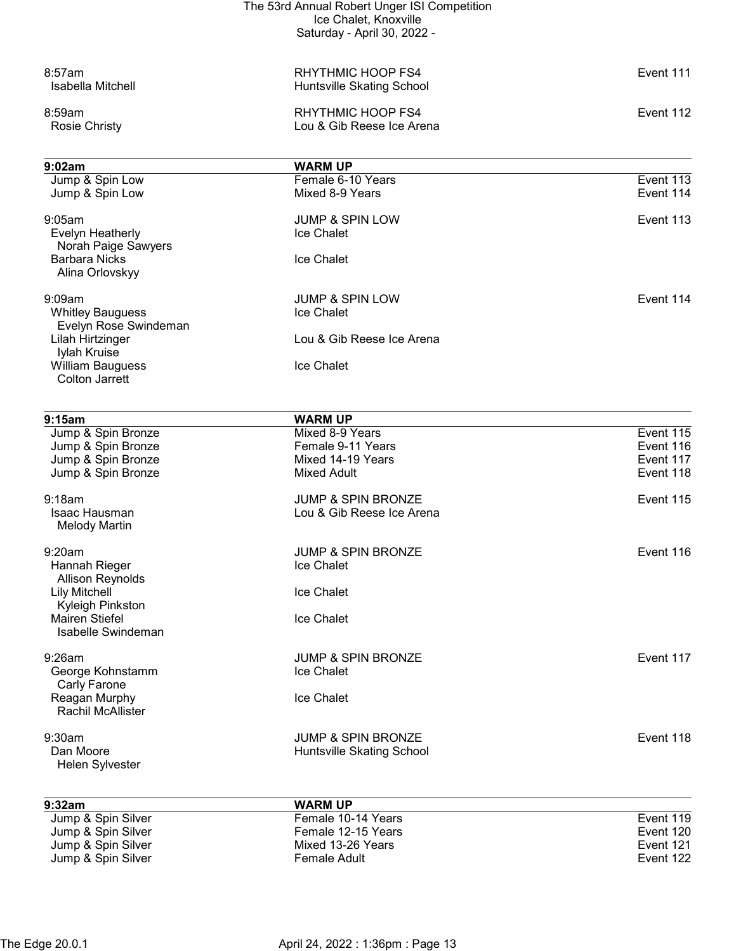|                                                                                      | The 53rd Annual Robert Unger ISI Competition               |                        |
|--------------------------------------------------------------------------------------|------------------------------------------------------------|------------------------|
|                                                                                      | Ice Chalet, Knoxville<br>Saturday - April 30, 2022 -       |                        |
| 8:57am<br>Isabella Mitchell                                                          | <b>RHYTHMIC HOOP FS4</b><br>Huntsville Skating School      | Event 111              |
| 8:59am<br><b>Rosie Christy</b>                                                       | RHYTHMIC HOOP FS4<br>Lou & Gib Reese Ice Arena             | Event 112              |
| 9:02am                                                                               | <b>WARM UP</b>                                             |                        |
| Jump & Spin Low<br>Jump & Spin Low                                                   | Female 6-10 Years<br>Mixed 8-9 Years                       | Event 113<br>Event 114 |
| 9:05am<br>Evelyn Heatherly<br>Norah Paige Sawyers                                    | <b>JUMP &amp; SPIN LOW</b><br>Ice Chalet                   | Event 113              |
| <b>Barbara Nicks</b><br>Alina Orlovskyy                                              | Ice Chalet                                                 |                        |
| 9:09am<br><b>Whitley Bauguess</b><br>Evelyn Rose Swindeman                           | <b>JUMP &amp; SPIN LOW</b><br>Ice Chalet                   | Event 114              |
| Lilah Hirtzinger<br>Iylah Kruise<br><b>William Bauguess</b><br><b>Colton Jarrett</b> | Lou & Gib Reese Ice Arena<br>Ice Chalet                    |                        |
| 9:15am                                                                               | <b>WARM UP</b>                                             |                        |
| Jump & Spin Bronze                                                                   | Mixed 8-9 Years                                            | Event 115              |
| Jump & Spin Bronze                                                                   | Female 9-11 Years                                          | Event 116              |
| Jump & Spin Bronze<br>Jump & Spin Bronze                                             | Mixed 14-19 Years<br>Mixed Adult                           | Event 117<br>Event 118 |
| 9:18am                                                                               | <b>JUMP &amp; SPIN BRONZE</b>                              | Event 115              |
| <b>Isaac Hausman</b><br><b>Melody Martin</b>                                         | Lou & Gib Reese Ice Arena                                  |                        |
| 9:20am                                                                               | <b>JUMP &amp; SPIN BRONZE</b>                              | Event 116              |
| Hannah Rieger<br><b>Allison Reynolds</b>                                             | Ice Chalet                                                 |                        |
| <b>Lily Mitchell</b><br>Kyleigh Pinkston                                             | Ice Chalet                                                 |                        |
| <b>Mairen Stiefel</b><br>Isabelle Swindeman                                          | Ice Chalet                                                 |                        |
| $9:26$ am                                                                            | <b>JUMP &amp; SPIN BRONZE</b>                              | Event 117              |
| George Kohnstamm<br>Carly Farone                                                     | Ice Chalet                                                 |                        |
| Reagan Murphy<br><b>Rachil McAllister</b>                                            | Ice Chalet                                                 |                        |
| 9:30am<br>Dan Moore                                                                  | <b>JUMP &amp; SPIN BRONZE</b><br>Huntsville Skating School | Event 118              |
| Helen Sylvester                                                                      |                                                            |                        |
| 9:32am                                                                               | <b>WARM UP</b>                                             |                        |
| Jump & Spin Silver<br>Jump & Spin Silver                                             | Female 10-14 Years<br>Female 12-15 Years                   | Event 119<br>Event 120 |
| Jump & Spin Silver                                                                   | Mixed 13-26 Years                                          | Event 121              |
| Jump & Spin Silver                                                                   | Female Adult                                               | Event 122              |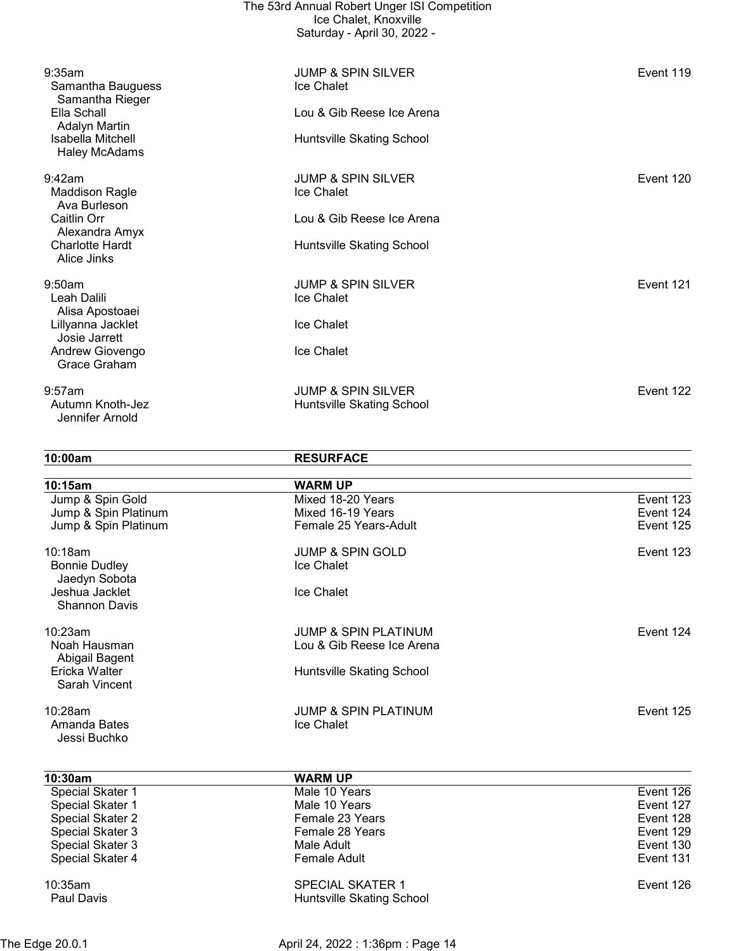|                                                 | The 53rd Annual Robert Unger ISI Competition<br>Ice Chalet, Knoxville<br>Saturday - April 30, 2022 - |           |
|-------------------------------------------------|------------------------------------------------------------------------------------------------------|-----------|
| 9:35am<br>Samantha Bauguess<br>Samantha Rieger  | <b>JUMP &amp; SPIN SILVER</b><br>Ice Chalet                                                          | Event 119 |
| Ella Schall<br>Adalyn Martin                    | Lou & Gib Reese Ice Arena                                                                            |           |
| Isabella Mitchell<br><b>Haley McAdams</b>       | Huntsville Skating School                                                                            |           |
| 9:42am<br><b>Maddison Ragle</b><br>Ava Burleson | <b>JUMP &amp; SPIN SILVER</b><br>Ice Chalet                                                          | Event 120 |
| Caitlin Orr<br>Alexandra Amyx                   | Lou & Gib Reese Ice Arena                                                                            |           |
| <b>Charlotte Hardt</b><br>Alice Jinks           | Huntsville Skating School                                                                            |           |
| 9:50am<br>Leah Dalili<br>Alisa Apostoaei        | <b>JUMP &amp; SPIN SILVER</b><br>Ice Chalet                                                          | Event 121 |
| Lillyanna Jacklet<br>Josie Jarrett              | Ice Chalet                                                                                           |           |
| Andrew Giovengo<br>Grace Graham                 | Ice Chalet                                                                                           |           |
| 9:57am<br>Autumn Knoth-Jez<br>Jennifer Arnold   | <b>JUMP &amp; SPIN SILVER</b><br>Huntsville Skating School                                           | Event 122 |

10:00am RESURFACE

| 10:15am                                          | <b>WARM UP</b>                                |           |
|--------------------------------------------------|-----------------------------------------------|-----------|
| Jump & Spin Gold                                 | Mixed 18-20 Years                             | Event 123 |
| Jump & Spin Platinum                             | Mixed 16-19 Years                             | Event 124 |
| Jump & Spin Platinum                             | Female 25 Years-Adult                         | Event 125 |
| 10:18am<br><b>Bonnie Dudley</b><br>Jaedyn Sobota | <b>JUMP &amp; SPIN GOLD</b><br>Ice Chalet     | Event 123 |
| Jeshua Jacklet<br><b>Shannon Davis</b>           | Ice Chalet                                    |           |
| 10:23am                                          | <b>JUMP &amp; SPIN PLATINUM</b>               | Event 124 |
| Noah Hausman<br>Abigail Bagent                   | Lou & Gib Reese Ice Arena                     |           |
| Ericka Walter<br>Sarah Vincent                   | Huntsville Skating School                     |           |
| $10:28$ am<br>Amanda Bates                       | <b>JUMP &amp; SPIN PLATINUM</b><br>Ice Chalet | Event 125 |
| Jessi Buchko                                     |                                               |           |

| 10:30am          | <b>WARM UP</b>                   |           |
|------------------|----------------------------------|-----------|
| Special Skater 1 | Male 10 Years                    | Event 126 |
| Special Skater 1 | Male 10 Years                    | Event 127 |
| Special Skater 2 | Female 23 Years                  | Event 128 |
| Special Skater 3 | Female 28 Years                  | Event 129 |
| Special Skater 3 | Male Adult                       | Event 130 |
| Special Skater 4 | Female Adult                     | Event 131 |
| 10:35am          | <b>SPECIAL SKATER 1</b>          | Event 126 |
| Paul Davis       | <b>Huntsville Skating School</b> |           |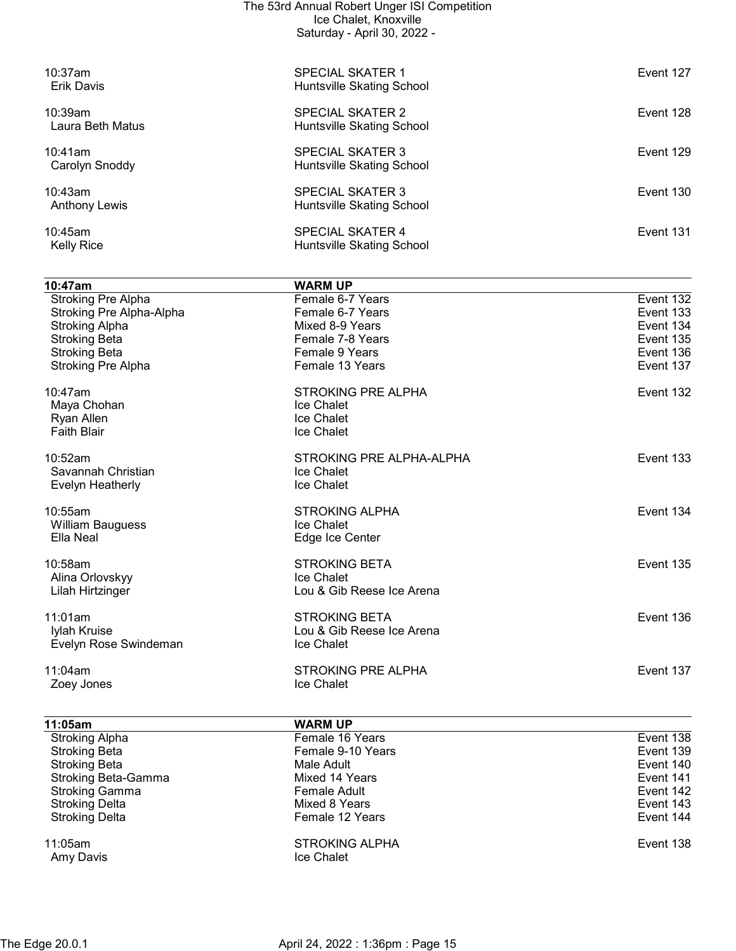| The 53rd Annual Robert Unger ISI Competition<br>Ice Chalet, Knoxville<br>Saturday - April 30, 2022 - |                                                      |           |
|------------------------------------------------------------------------------------------------------|------------------------------------------------------|-----------|
| 10:37am<br>Erik Davis                                                                                | <b>SPECIAL SKATER 1</b><br>Huntsville Skating School | Event 127 |
| 10:39am<br>Laura Beth Matus                                                                          | SPECIAL SKATER 2<br>Huntsville Skating School        | Event 128 |
| $10:41$ am<br>Carolyn Snoddy                                                                         | <b>SPECIAL SKATER 3</b><br>Huntsville Skating School | Event 129 |
| 10:43am<br>Anthony Lewis                                                                             | <b>SPECIAL SKATER 3</b><br>Huntsville Skating School | Event 130 |
| $10:45$ am<br><b>Kelly Rice</b>                                                                      | <b>SPECIAL SKATER 4</b><br>Huntsville Skating School | Event 131 |

| 10:47am                   | <b>WARM UP</b>            |           |
|---------------------------|---------------------------|-----------|
| Stroking Pre Alpha        | Female 6-7 Years          | Event 132 |
| Stroking Pre Alpha-Alpha  | Female 6-7 Years          | Event 133 |
| <b>Stroking Alpha</b>     | Mixed 8-9 Years           | Event 134 |
| <b>Stroking Beta</b>      | Female 7-8 Years          | Event 135 |
| <b>Stroking Beta</b>      | Female 9 Years            | Event 136 |
| <b>Stroking Pre Alpha</b> | Female 13 Years           | Event 137 |
| 10:47am                   | <b>STROKING PRE ALPHA</b> | Event 132 |
| Maya Chohan               | <b>Ice Chalet</b>         |           |
| Ryan Allen                | Ice Chalet                |           |
| <b>Faith Blair</b>        | <b>Ice Chalet</b>         |           |
| 10:52am                   | STROKING PRE ALPHA-ALPHA  | Event 133 |
| Savannah Christian        | Ice Chalet                |           |
| Evelyn Heatherly          | Ice Chalet                |           |
| 10:55am                   | <b>STROKING ALPHA</b>     | Event 134 |
| <b>William Bauguess</b>   | Ice Chalet                |           |
| Ella Neal                 | Edge Ice Center           |           |
| $10:58$ am                | <b>STROKING BETA</b>      | Event 135 |
| Alina Orlovskyy           | Ice Chalet                |           |
| Lilah Hirtzinger          | Lou & Gib Reese Ice Arena |           |
| 11:01am                   | <b>STROKING BETA</b>      | Event 136 |
| Iylah Kruise              | Lou & Gib Reese Ice Arena |           |
| Evelyn Rose Swindeman     | Ice Chalet                |           |
| 11:04am                   | <b>STROKING PRE ALPHA</b> | Event 137 |
| Zoey Jones                | Ice Chalet                |           |
|                           |                           |           |

| 11:05am                    | <b>WARM UP</b>                      |           |
|----------------------------|-------------------------------------|-----------|
| <b>Stroking Alpha</b>      | Female 16 Years                     | Event 138 |
| <b>Stroking Beta</b>       | Female 9-10 Years                   | Event 139 |
| <b>Stroking Beta</b>       | Male Adult                          | Event 140 |
| <b>Stroking Beta-Gamma</b> | Mixed 14 Years                      | Event 141 |
| <b>Stroking Gamma</b>      | Female Adult                        | Event 142 |
| <b>Stroking Delta</b>      | Mixed 8 Years                       | Event 143 |
| <b>Stroking Delta</b>      | Female 12 Years                     | Event 144 |
| 11:05am<br>Amy Davis       | <b>STROKING ALPHA</b><br>Ice Chalet | Event 138 |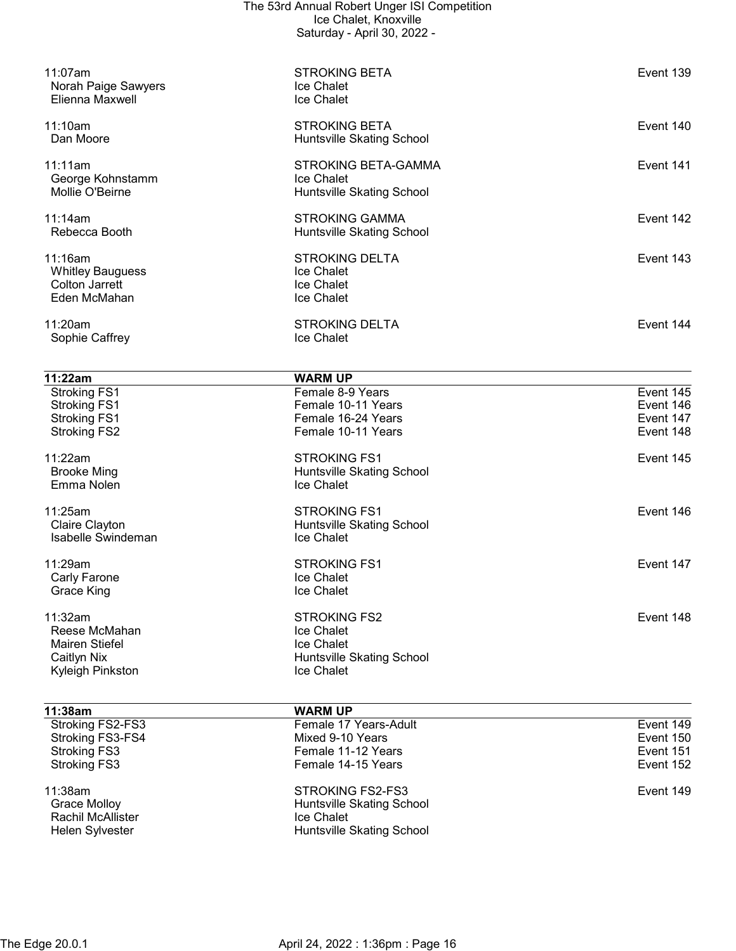| 11:07am                                | <b>STROKING BETA</b>                    | Event 139 |
|----------------------------------------|-----------------------------------------|-----------|
| Norah Paige Sawyers<br>Elienna Maxwell | <b>Ice Chalet</b><br>Ice Chalet         |           |
| 11:10am                                | <b>STROKING BETA</b>                    | Event 140 |
| Dan Moore                              | Huntsville Skating School               |           |
| 11:11am                                | STROKING BETA-GAMMA                     | Event 141 |
| George Kohnstamm<br>Mollie O'Beirne    | Ice Chalet<br>Huntsville Skating School |           |
| 11:14am                                | <b>STROKING GAMMA</b>                   | Event 142 |
| Rebecca Booth                          | <b>Huntsville Skating School</b>        |           |
| 11:16am                                | <b>STROKING DELTA</b>                   | Event 143 |
| <b>Whitley Bauguess</b>                | Ice Chalet                              |           |
| <b>Colton Jarrett</b>                  | Ice Chalet                              |           |
| Eden McMahan                           | Ice Chalet                              |           |
| 11:20am                                | <b>STROKING DELTA</b>                   | Event 144 |
| Sophie Caffrey                         | Ice Chalet                              |           |
| 11:22am                                | <b>WARM UP</b>                          |           |
| <b>Stroking FS1</b>                    | Female 8-9 Years                        | Event 145 |
| <b>Stroking FS1</b>                    | Female 10-11 Years                      | Event 146 |
| <b>Stroking FS1</b>                    | Female 16-24 Years                      | Event 147 |
| <b>Stroking FS2</b>                    | Female 10-11 Years                      | Event 148 |
| 11:22am                                | <b>STROKING FS1</b>                     | Event 145 |
| <b>Brooke Ming</b>                     | Huntsville Skating School               |           |
| Emma Nolen                             | Ice Chalet                              |           |
| 11:25am                                | <b>STROKING FS1</b>                     | Event 146 |
| Claire Clayton                         | Huntsville Skating School               |           |
| Isabelle Swindeman                     | Ice Chalet                              |           |
| 11:29am                                | <b>STROKING FS1</b>                     | Event 147 |
| Carly Farone                           | Ice Chalet                              |           |
| <b>Grace King</b>                      | Ice Chalet                              |           |
| 11:32am                                | <b>STROKING FS2</b>                     | Event 148 |
| Reese McMahan                          | Ice Chalet                              |           |
| <b>Mairen Stiefel</b>                  | Ice Chalet                              |           |
| <b>Caitlyn Nix</b>                     | <b>Huntsville Skating School</b>        |           |
| Kyleigh Pinkston                       | Ice Chalet                              |           |
| 11:38am                                | <b>WARM UP</b>                          |           |
| Stroking FS2-FS3                       | Female 17 Years-Adult                   | Event 149 |
| Stroking FS3-FS4                       | Mixed 9-10 Years                        | Event 150 |
| <b>Stroking FS3</b>                    | Female 11-12 Years                      | Event 151 |
| <b>Stroking FS3</b>                    | Female 14-15 Years                      | Event 152 |
| 11:38am                                | <b>STROKING FS2-FS3</b>                 | Event 149 |
| <b>Grace Molloy</b>                    | Huntsville Skating School               |           |
| Rachil McAllister                      | Ice Chalet                              |           |
| Helen Sylvester                        | Huntsville Skating School               |           |
|                                        |                                         |           |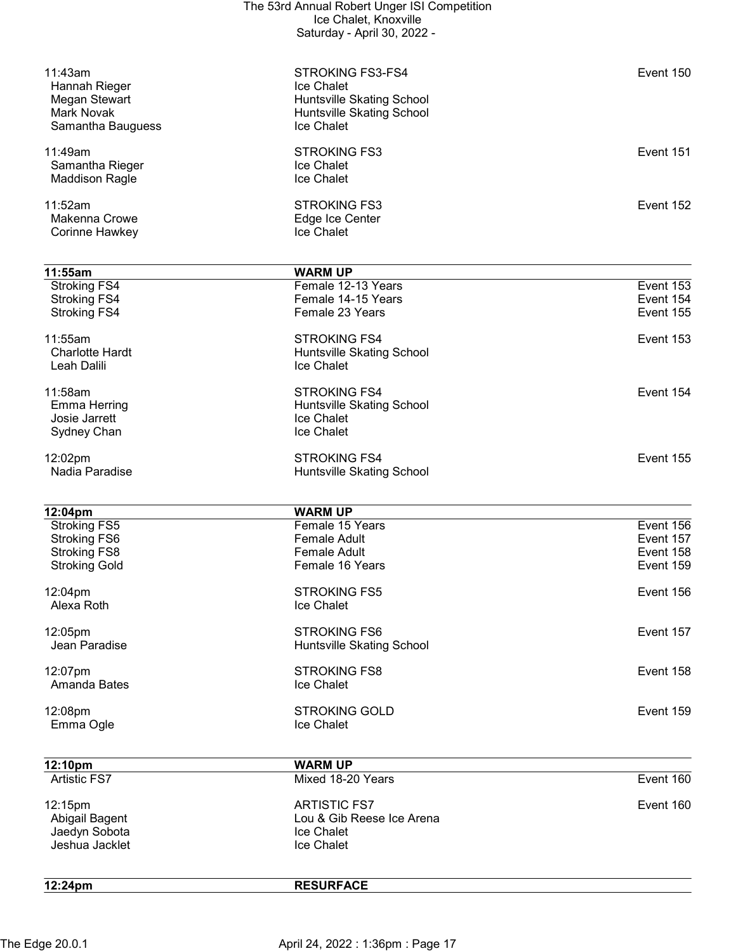| 12:24pm                                                           | <b>RESURFACE</b>                                                                          |                                     |
|-------------------------------------------------------------------|-------------------------------------------------------------------------------------------|-------------------------------------|
| Jaedyn Sobota<br>Jeshua Jacklet                                   | Ice Chalet<br>Ice Chalet                                                                  |                                     |
| 12:15pm<br>Abigail Bagent                                         | <b>ARTISTIC FS7</b><br>Lou & Gib Reese Ice Arena                                          | Event 160                           |
| <b>Artistic FS7</b>                                               | Mixed 18-20 Years                                                                         | Event 160                           |
| 12:10pm                                                           | <b>WARM UP</b>                                                                            |                                     |
| 12:08pm<br>Emma Ogle                                              | <b>STROKING GOLD</b><br>Ice Chalet                                                        | Event 159                           |
| 12:07pm<br>Amanda Bates                                           | <b>STROKING FS8</b><br>Ice Chalet                                                         | Event 158                           |
| 12:05pm<br>Jean Paradise                                          | <b>STROKING FS6</b><br>Huntsville Skating School                                          | Event 157                           |
| 12:04pm<br>Alexa Roth                                             | <b>STROKING FS5</b><br>Ice Chalet                                                         | Event 156                           |
| <b>Stroking Gold</b>                                              | Female 16 Years                                                                           | Event 159                           |
| <b>Stroking FS6</b><br>Stroking FS8                               | <b>Female Adult</b><br><b>Female Adult</b>                                                | Event 157<br>Event 158              |
| 12:04pm<br><b>Stroking FS5</b>                                    | <b>WARM UP</b><br>Female 15 Years                                                         | Event 156                           |
| 12:02pm<br>Nadia Paradise                                         | <b>STROKING FS4</b><br>Huntsville Skating School                                          | Event 155                           |
| Sydney Chan                                                       | Ice Chalet                                                                                |                                     |
| 11:58am<br><b>Emma Herring</b><br>Josie Jarrett                   | <b>STROKING FS4</b><br>Huntsville Skating School<br>Ice Chalet                            | Event 154                           |
| <b>Charlotte Hardt</b><br>Leah Dalili                             | Huntsville Skating School<br>Ice Chalet                                                   |                                     |
| 11:55am                                                           | <b>STROKING FS4</b>                                                                       | Event 153                           |
| Stroking FS4<br><b>Stroking FS4</b><br><b>Stroking FS4</b>        | Female 12-13 Years<br>Female 14-15 Years<br>Female 23 Years                               | Event 153<br>Event 154<br>Event 155 |
| 11:55am                                                           | <b>WARM UP</b>                                                                            |                                     |
| <b>Makenna Crowe</b><br>Corinne Hawkey                            | Edge Ice Center<br>Ice Chalet                                                             |                                     |
| <b>Maddison Ragle</b><br>11:52am                                  | Ice Chalet<br><b>STROKING FS3</b>                                                         | Event 152                           |
| 11:49am<br>Samantha Rieger                                        | <b>STROKING FS3</b><br>Ice Chalet                                                         | Event 151                           |
| Hannah Rieger<br>Megan Stewart<br>Mark Novak<br>Samantha Bauguess | Ice Chalet<br><b>Huntsville Skating School</b><br>Huntsville Skating School<br>Ice Chalet |                                     |
| 11:43am                                                           | <b>STROKING FS3-FS4</b>                                                                   | Event 150                           |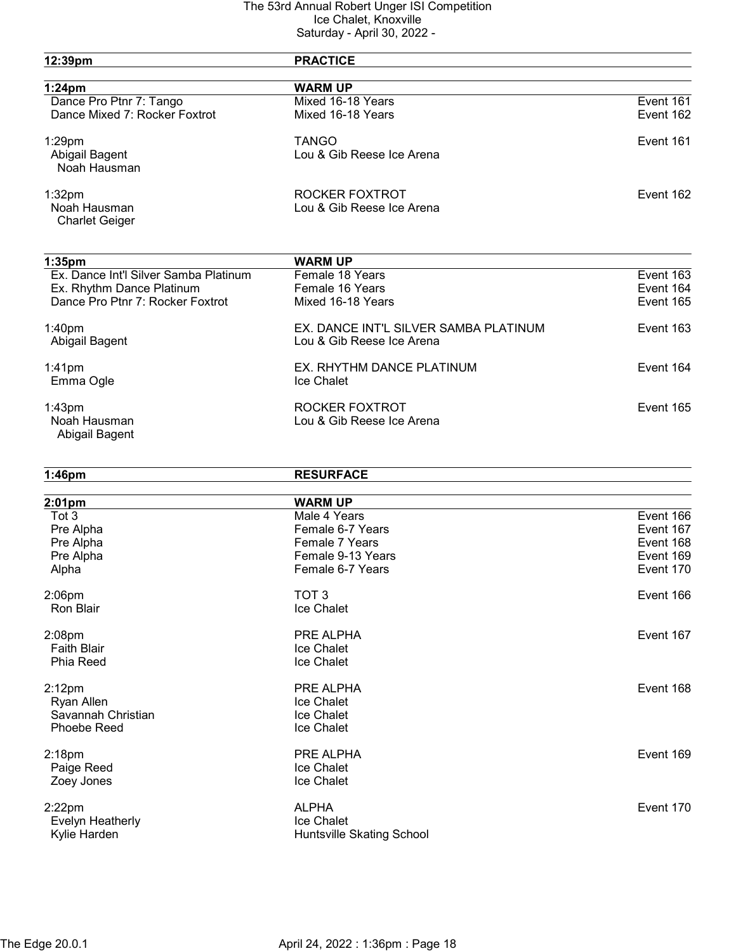|                                       | $1.1$ P $1.11$ VV, LVLL               |           |
|---------------------------------------|---------------------------------------|-----------|
| 12:39pm                               | <b>PRACTICE</b>                       |           |
| $1:24$ pm                             | <b>WARM UP</b>                        |           |
| Dance Pro Ptnr 7: Tango               | Mixed 16-18 Years                     | Event 161 |
| Dance Mixed 7: Rocker Foxtrot         | Mixed 16-18 Years                     | Event 162 |
| 1:29pm                                | <b>TANGO</b>                          | Event 161 |
| Abigail Bagent                        | Lou & Gib Reese Ice Arena             |           |
| Noah Hausman                          |                                       |           |
| 1:32 <sub>pm</sub>                    | ROCKER FOXTROT                        | Event 162 |
| Noah Hausman                          | Lou & Gib Reese Ice Arena             |           |
| <b>Charlet Geiger</b>                 |                                       |           |
| 1:35 <sub>pm</sub>                    | <b>WARM UP</b>                        |           |
| Ex. Dance Int'l Silver Samba Platinum | Female 18 Years                       | Event 163 |
| Ex. Rhythm Dance Platinum             | Female 16 Years                       | Event 164 |
| Dance Pro Ptnr 7: Rocker Foxtrot      | Mixed 16-18 Years                     | Event 165 |
|                                       |                                       |           |
| 1:40pm                                | EX. DANCE INT'L SILVER SAMBA PLATINUM | Event 163 |
| Abigail Bagent                        | Lou & Gib Reese Ice Arena             |           |
| $1:41$ pm                             | EX. RHYTHM DANCE PLATINUM             | Event 164 |
| Emma Ogle                             | Ice Chalet                            |           |
| 1:43 <sub>pm</sub>                    | ROCKER FOXTROT                        | Event 165 |
| Noah Hausman                          | Lou & Gib Reese Ice Arena             |           |
| Abigail Bagent                        |                                       |           |
| $1:46$ pm                             | <b>RESURFACE</b>                      |           |
| 2:01pm                                | <b>WARM UP</b>                        |           |
| Tot 3                                 | Male 4 Years                          | Event 166 |
| Pre Alpha                             | Female 6-7 Years                      | Event 167 |
| Pre Alpha                             | Female 7 Years                        | Event 168 |
| Pre Alpha                             | Female 9-13 Years                     | Event 169 |
| Alpha                                 | Female 6-7 Years                      | Event 170 |
|                                       |                                       |           |
| 2:06pm                                | TOT <sub>3</sub>                      | Event 166 |
| Ron Blair                             | Ice Chalet                            |           |
| $2:08$ pm                             | PRE ALPHA                             | Event 167 |
| <b>Faith Blair</b>                    | Ice Chalet                            |           |
| <b>Phia Reed</b>                      | Ice Chalet                            |           |
| $2:12$ pm                             | PRE ALPHA                             | Event 168 |
| Ryan Allen                            | Ice Chalet                            |           |
| Savannah Christian                    | <b>Ice Chalet</b>                     |           |
| Phoebe Reed                           | Ice Chalet                            |           |
| 2:18 <sub>pm</sub>                    | PRE ALPHA                             | Event 169 |
| Paige Reed                            | Ice Chalet                            |           |
| Zoey Jones                            | Ice Chalet                            |           |
| $2:22$ pm                             | <b>ALPHA</b>                          | Event 170 |
| Evelyn Heatherly                      | Ice Chalet                            |           |
| Kylie Harden                          | Huntsville Skating School             |           |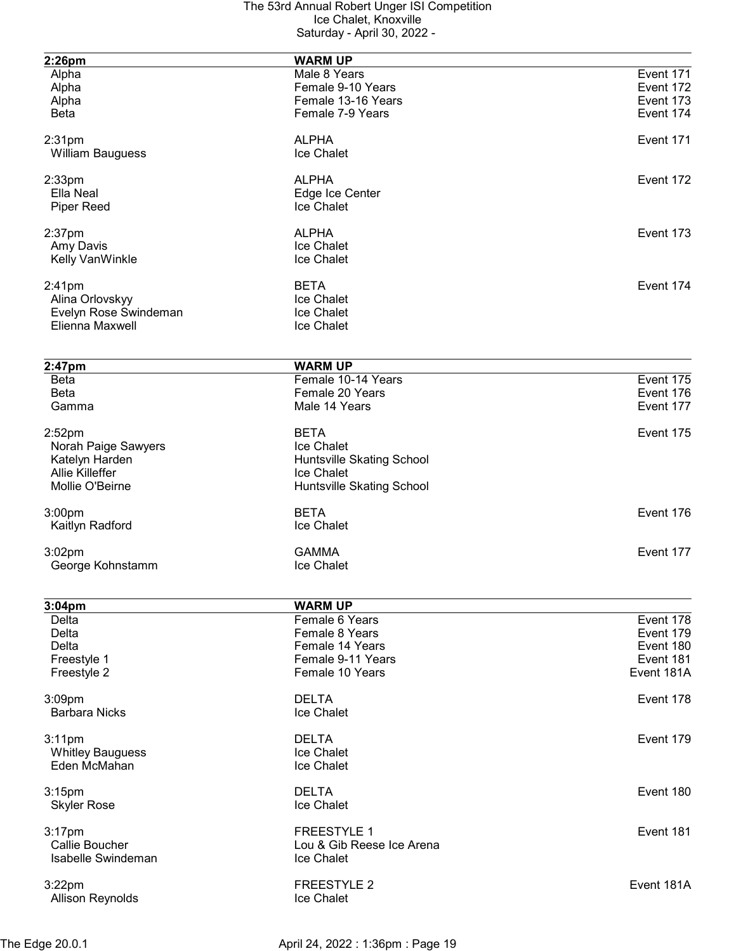| 2:26pm                  | <b>WARM UP</b>            |            |
|-------------------------|---------------------------|------------|
| Alpha                   | Male 8 Years              | Event 171  |
|                         |                           |            |
| Alpha                   | Female 9-10 Years         | Event 172  |
| Alpha                   | Female 13-16 Years        | Event 173  |
| <b>Beta</b>             | Female 7-9 Years          | Event 174  |
| 2:31 <sub>pm</sub>      | <b>ALPHA</b>              | Event 171  |
|                         |                           |            |
| <b>William Bauguess</b> | Ice Chalet                |            |
| $2:33$ pm               | <b>ALPHA</b>              | Event 172  |
| Ella Neal               | Edge Ice Center           |            |
| <b>Piper Reed</b>       | Ice Chalet                |            |
|                         |                           |            |
| $2:37$ pm               | <b>ALPHA</b>              | Event 173  |
| Amy Davis               | Ice Chalet                |            |
| Kelly VanWinkle         | Ice Chalet                |            |
| $2:41$ pm               | <b>BETA</b>               | Event 174  |
| Alina Orlovskyy         | Ice Chalet                |            |
|                         | Ice Chalet                |            |
| Evelyn Rose Swindeman   |                           |            |
| Elienna Maxwell         | Ice Chalet                |            |
|                         |                           |            |
| 2:47pm                  | <b>WARM UP</b>            |            |
| <b>Beta</b>             | Female 10-14 Years        | Event 175  |
| <b>Beta</b>             | Female 20 Years           | Event 176  |
| Gamma                   | Male 14 Years             | Event 177  |
|                         |                           |            |
| $2:52$ pm               | <b>BETA</b>               | Event 175  |
| Norah Paige Sawyers     | Ice Chalet                |            |
| Katelyn Harden          | Huntsville Skating School |            |
| <b>Allie Killeffer</b>  | Ice Chalet                |            |
|                         |                           |            |
| Mollie O'Beirne         | Huntsville Skating School |            |
| 3:00 <sub>pm</sub>      | <b>BETA</b>               | Event 176  |
| Kaitlyn Radford         | Ice Chalet                |            |
|                         |                           |            |
| 3:02pm                  | <b>GAMMA</b>              | Event 177  |
| George Kohnstamm        | Ice Chalet                |            |
|                         |                           |            |
| 3:04 <sub>pm</sub>      | <b>WARM UP</b>            |            |
| Delta                   | Female 6 Years            | Event 178  |
| Delta                   | Female 8 Years            | Event 179  |
| Delta                   | Female 14 Years           | Event 180  |
|                         |                           |            |
| Freestyle 1             | Female 9-11 Years         | Event 181  |
| Freestyle 2             | Female 10 Years           | Event 181A |
| 3:09pm                  | <b>DELTA</b>              | Event 178  |
| <b>Barbara Nicks</b>    | Ice Chalet                |            |
|                         |                           |            |
| $3:11$ pm               | <b>DELTA</b>              | Event 179  |
| <b>Whitley Bauguess</b> | Ice Chalet                |            |
| Eden McMahan            | Ice Chalet                |            |
|                         |                           |            |
| 3:15pm                  | <b>DELTA</b>              | Event 180  |
| <b>Skyler Rose</b>      | Ice Chalet                |            |
|                         |                           |            |
| $3:17$ pm               | <b>FREESTYLE 1</b>        | Event 181  |
| Callie Boucher          | Lou & Gib Reese Ice Arena |            |
| Isabelle Swindeman      | Ice Chalet                |            |
|                         |                           |            |
| $3:22$ pm               | <b>FREESTYLE 2</b>        | Event 181A |
| <b>Allison Reynolds</b> | Ice Chalet                |            |
|                         |                           |            |
|                         |                           |            |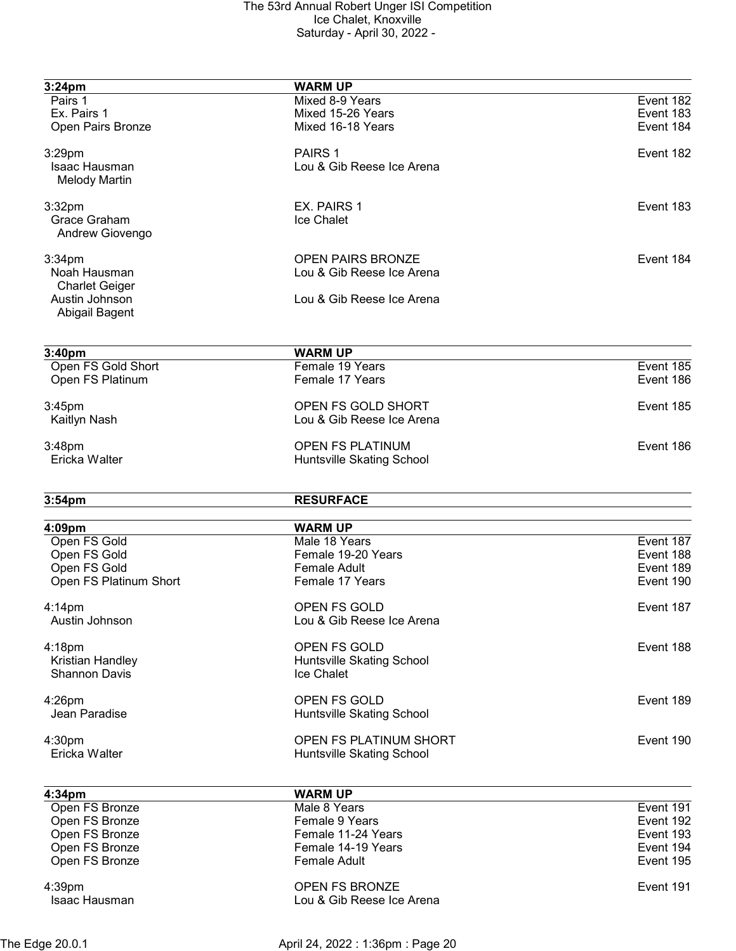| 3:24pm                           | <b>WARM UP</b>                |                        |
|----------------------------------|-------------------------------|------------------------|
| Pairs 1                          | Mixed 8-9 Years               | Event 182              |
| Ex. Pairs 1                      | Mixed 15-26 Years             | Event 183              |
| Open Pairs Bronze                | Mixed 16-18 Years             | Event 184              |
| 3:29pm                           | PAIRS <sub>1</sub>            | Event 182              |
| Isaac Hausman                    | Lou & Gib Reese Ice Arena     |                        |
| <b>Melody Martin</b>             |                               |                        |
| 3:32 <sub>pm</sub>               | EX. PAIRS 1                   | Event 183              |
| Grace Graham                     | Ice Chalet                    |                        |
| Andrew Giovengo                  |                               |                        |
| 3:34 <sub>pm</sub>               | <b>OPEN PAIRS BRONZE</b>      | Event 184              |
| Noah Hausman                     | Lou & Gib Reese Ice Arena     |                        |
| <b>Charlet Geiger</b>            |                               |                        |
| Austin Johnson<br>Abigail Bagent | Lou & Gib Reese Ice Arena     |                        |
|                                  |                               |                        |
| 3:40pm                           | <b>WARM UP</b>                |                        |
| Open FS Gold Short               | Female 19 Years               | Event 185<br>Event 186 |
| Open FS Platinum                 | Female 17 Years               |                        |
| 3:45pm                           | OPEN FS GOLD SHORT            | Event 185              |
| Kaitlyn Nash                     | Lou & Gib Reese Ice Arena     |                        |
| 3:48pm                           | <b>OPEN FS PLATINUM</b>       | Event 186              |
| Ericka Walter                    | Huntsville Skating School     |                        |
| 3:54 <sub>pm</sub>               | <b>RESURFACE</b>              |                        |
| 4:09pm                           | <b>WARM UP</b>                |                        |
| Open FS Gold                     | Male 18 Years                 | Event 187              |
| Open FS Gold                     | Female 19-20 Years            | Event 188              |
| Open FS Gold                     | <b>Female Adult</b>           | Event 189              |
| Open FS Platinum Short           | Female 17 Years               | Event 190              |
| $4:14$ pm                        | OPEN FS GOLD                  | Event 187              |
| Austin Johnson                   | Lou & Gib Reese Ice Arena     |                        |
| 4:18pm                           | OPEN FS GOLD                  | Event 188              |
| Kristian Handley                 | Huntsville Skating School     |                        |
| <b>Shannon Davis</b>             | Ice Chalet                    |                        |
| $4:26$ pm                        | OPEN FS GOLD                  | Event 189              |
| Jean Paradise                    | Huntsville Skating School     |                        |
| 4:30 <sub>pm</sub>               | <b>OPEN FS PLATINUM SHORT</b> | Event 190              |
| Ericka Walter                    | Huntsville Skating School     |                        |
| 4:34 <sub>pm</sub>               | <b>WARM UP</b>                |                        |
| Open FS Bronze                   | Male 8 Years                  | Event 191              |
| Open FS Bronze                   | Female 9 Years                | Event 192              |
| Open FS Bronze                   | Female 11-24 Years            | Event 193              |
| Open FS Bronze                   | Female 14-19 Years            | Event 194              |
| Open FS Bronze                   | <b>Female Adult</b>           | Event 195              |
| 4:39pm                           | <b>OPEN FS BRONZE</b>         | Event 191              |
| Isaac Hausman                    | Lou & Gib Reese Ice Arena     |                        |
|                                  |                               |                        |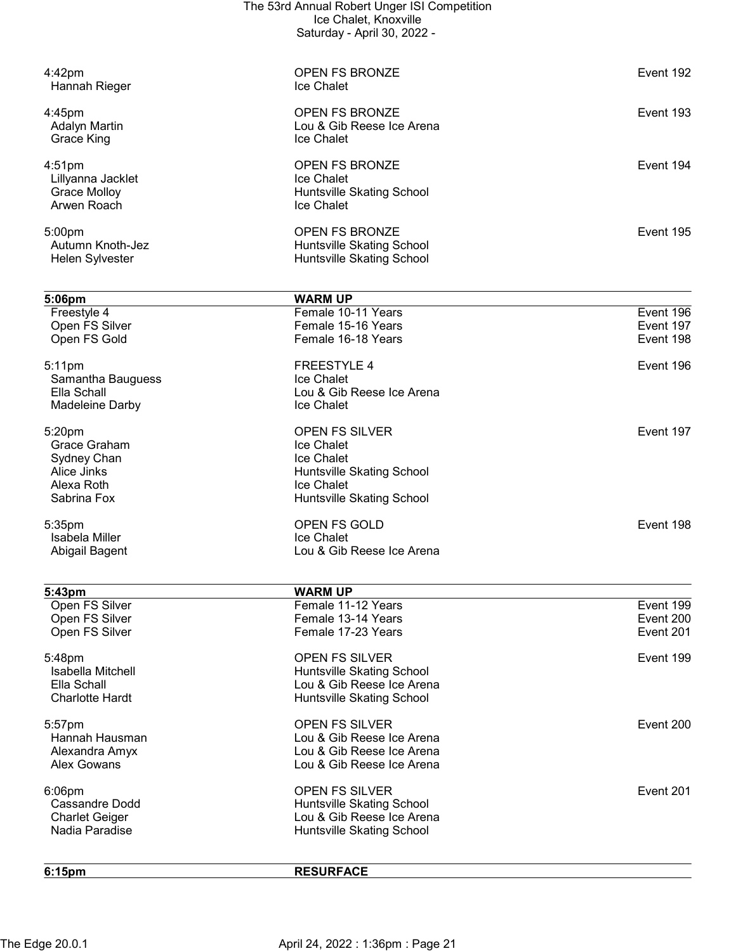|                                         | The 53rd Annual Robert Unger ISI Competition<br>Ice Chalet, Knoxville |           |
|-----------------------------------------|-----------------------------------------------------------------------|-----------|
|                                         | Saturday - April 30, 2022 -                                           |           |
| 4:42pm                                  | <b>OPEN FS BRONZE</b>                                                 | Event 192 |
| Hannah Rieger                           | Ice Chalet                                                            |           |
| 4:45pm                                  | <b>OPEN FS BRONZE</b>                                                 | Event 193 |
| <b>Adalyn Martin</b><br>Grace King      | Lou & Gib Reese Ice Arena<br>Ice Chalet                               |           |
| $4:51$ pm                               | <b>OPEN FS BRONZE</b>                                                 | Event 194 |
| Lillyanna Jacklet                       | Ice Chalet                                                            |           |
| <b>Grace Molloy</b><br>Arwen Roach      | Huntsville Skating School<br>Ice Chalet                               |           |
| 5:00pm                                  | <b>OPEN FS BRONZE</b>                                                 | Event 195 |
| Autumn Knoth-Jez<br>Helen Sylvester     | Huntsville Skating School<br>Huntsville Skating School                |           |
|                                         |                                                                       |           |
| 5:06pm<br>Freestyle 4                   | <b>WARM UP</b><br>Female 10-11 Years                                  | Event 196 |
| Open FS Silver                          | Female 15-16 Years                                                    | Event 197 |
| Open FS Gold                            | Female 16-18 Years                                                    | Event 198 |
| 5:11pm                                  | <b>FREESTYLE 4</b>                                                    | Event 196 |
| Samantha Bauguess<br>Ella Schall        | Ice Chalet<br>Lou & Gib Reese Ice Arena                               |           |
| Madeleine Darby                         | Ice Chalet                                                            |           |
| 5:20pm                                  | OPEN FS SILVER                                                        | Event 197 |
| Grace Graham<br>Sydney Chan             | Ice Chalet<br>Ice Chalet                                              |           |
| Alice Jinks                             | Huntsville Skating School                                             |           |
| Alexa Roth                              | <b>Ice Chalet</b>                                                     |           |
| Sabrina Fox                             | Huntsville Skating School                                             |           |
| 5:35pm                                  | <b>OPEN FS GOLD</b>                                                   | Event 198 |
| Isabela Miller<br>Abigail Bagent        | <b>Ice Chalet</b><br>Lou & Gib Reese Ice Arena                        |           |
| 5:43pm                                  | <b>WARM UP</b>                                                        |           |
| Open FS Silver                          | Female 11-12 Years                                                    | Event 199 |
| Open FS Silver                          | Female 13-14 Years                                                    | Event 200 |
| Open FS Silver                          | Female 17-23 Years                                                    | Event 201 |
| 5:48pm                                  | OPEN FS SILVER                                                        | Event 199 |
| Isabella Mitchell<br>Ella Schall        | Huntsville Skating School<br>Lou & Gib Reese Ice Arena                |           |
| <b>Charlotte Hardt</b>                  | Huntsville Skating School                                             |           |
| 5:57pm                                  | <b>OPEN FS SILVER</b>                                                 | Event 200 |
| Hannah Hausman<br>Alexandra Amyx        | Lou & Gib Reese Ice Arena<br>Lou & Gib Reese Ice Arena                |           |
| <b>Alex Gowans</b>                      | Lou & Gib Reese Ice Arena                                             |           |
| 6:06pm                                  | <b>OPEN FS SILVER</b>                                                 | Event 201 |
| Cassandre Dodd                          | <b>Huntsville Skating School</b>                                      |           |
| <b>Charlet Geiger</b><br>Nadia Paradise | Lou & Gib Reese Ice Arena<br>Huntsville Skating School                |           |
| 6:15pm                                  | <b>RESURFACE</b>                                                      |           |
|                                         |                                                                       |           |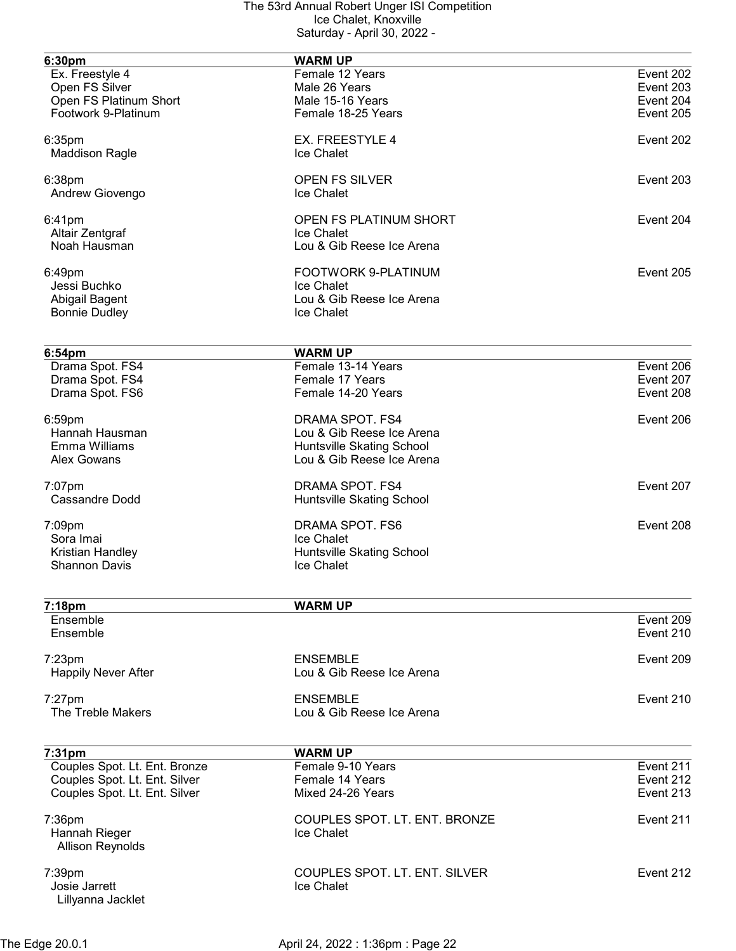| 6:30pm                        | <b>WARM UP</b>                |           |
|-------------------------------|-------------------------------|-----------|
| Ex. Freestyle 4               | Female 12 Years               | Event 202 |
| Open FS Silver                | Male 26 Years                 | Event 203 |
| Open FS Platinum Short        | Male 15-16 Years              | Event 204 |
| Footwork 9-Platinum           | Female 18-25 Years            | Event 205 |
| 6:35pm                        | EX. FREESTYLE 4               | Event 202 |
| <b>Maddison Ragle</b>         | Ice Chalet                    |           |
| $6:38$ pm                     | <b>OPEN FS SILVER</b>         | Event 203 |
| Andrew Giovengo               | Ice Chalet                    |           |
| 6:41pm                        | OPEN FS PLATINUM SHORT        | Event 204 |
| Altair Zentgraf               | Ice Chalet                    |           |
| Noah Hausman                  | Lou & Gib Reese Ice Arena     |           |
| 6:49pm                        | FOOTWORK 9-PLATINUM           | Event 205 |
| Jessi Buchko                  | Ice Chalet                    |           |
| Abigail Bagent                | Lou & Gib Reese Ice Arena     |           |
| <b>Bonnie Dudley</b>          | Ice Chalet                    |           |
|                               |                               |           |
| 6:54 <sub>pm</sub>            | <b>WARM UP</b>                |           |
| Drama Spot. FS4               | Female 13-14 Years            | Event 206 |
| Drama Spot. FS4               | Female 17 Years               | Event 207 |
| Drama Spot. FS6               | Female 14-20 Years            | Event 208 |
| 6:59pm                        | DRAMA SPOT. FS4               | Event 206 |
| Hannah Hausman                | Lou & Gib Reese Ice Arena     |           |
| Emma Williams                 | Huntsville Skating School     |           |
| <b>Alex Gowans</b>            | Lou & Gib Reese Ice Arena     |           |
| 7:07pm                        | DRAMA SPOT. FS4               | Event 207 |
| <b>Cassandre Dodd</b>         | Huntsville Skating School     |           |
| 7:09pm                        | DRAMA SPOT. FS6               | Event 208 |
| Sora Imai                     | Ice Chalet                    |           |
| Kristian Handley              | Huntsville Skating School     |           |
| <b>Shannon Davis</b>          | Ice Chalet                    |           |
|                               |                               |           |
| 7:18pm<br>Ensemble            | <b>WARM UP</b>                | Event 209 |
| Ensemble                      |                               | Event 210 |
| $7:23$ pm                     | <b>ENSEMBLE</b>               | Event 209 |
| <b>Happily Never After</b>    | Lou & Gib Reese Ice Arena     |           |
| $7:27$ pm                     | <b>ENSEMBLE</b>               | Event 210 |
| The Treble Makers             | Lou & Gib Reese Ice Arena     |           |
|                               |                               |           |
| 7:31 <sub>pm</sub>            | <b>WARM UP</b>                |           |
| Couples Spot. Lt. Ent. Bronze | Female 9-10 Years             | Event 211 |
| Couples Spot. Lt. Ent. Silver | Female 14 Years               | Event 212 |
| Couples Spot. Lt. Ent. Silver | Mixed 24-26 Years             | Event 213 |
| 7:36pm                        | COUPLES SPOT. LT. ENT. BRONZE | Event 211 |
| Hannah Rieger                 | Ice Chalet                    |           |
| <b>Allison Reynolds</b>       |                               |           |
| $7:39$ pm                     | COUPLES SPOT. LT. ENT. SILVER | Event 212 |
| Josie Jarrett                 | Ice Chalet                    |           |
| Lillyanna Jacklet             |                               |           |
|                               |                               |           |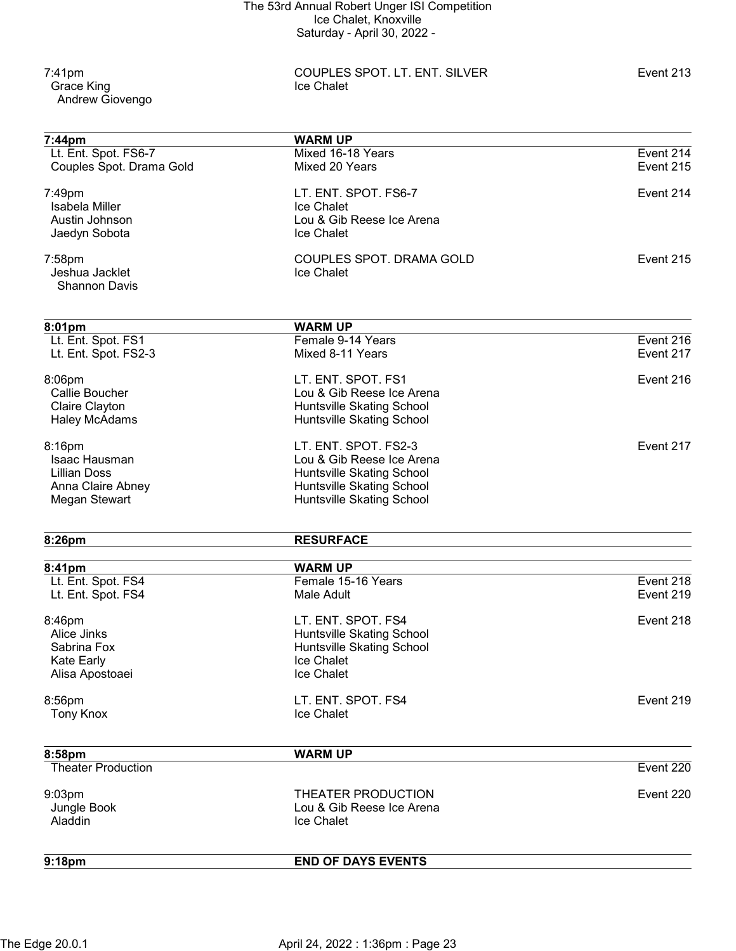Grace King Andrew Giovengo

7:41pm COUPLES SPOT. LT. ENT. SILVER Event 213

| 7:44pm                       | <b>WARM UP</b>                       |           |
|------------------------------|--------------------------------------|-----------|
| Lt. Ent. Spot. FS6-7         | Mixed 16-18 Years                    | Event 214 |
| Couples Spot. Drama Gold     | Mixed 20 Years                       | Event 215 |
| 7:49pm                       | LT. ENT. SPOT. FS6-7                 | Event 214 |
| Isabela Miller               | <b>Ice Chalet</b>                    |           |
| Austin Johnson               | Lou & Gib Reese Ice Arena            |           |
| Jaedyn Sobota                | Ice Chalet                           |           |
| 7:58pm                       | COUPLES SPOT. DRAMA GOLD             | Event 215 |
| Jeshua Jacklet               | Ice Chalet                           |           |
| <b>Shannon Davis</b>         |                                      |           |
| 8:01pm                       | <b>WARM UP</b>                       |           |
| Lt. Ent. Spot. FS1           | Female 9-14 Years                    | Event 216 |
| Lt. Ent. Spot. FS2-3         | Mixed 8-11 Years                     | Event 217 |
| 8:06pm                       | LT. ENT. SPOT. FS1                   | Event 216 |
| Callie Boucher               | Lou & Gib Reese Ice Arena            |           |
| Claire Clayton               | Huntsville Skating School            |           |
| <b>Haley McAdams</b>         | Huntsville Skating School            |           |
| 8:16pm                       | LT. ENT. SPOT. FS2-3                 | Event 217 |
| Isaac Hausman                | Lou & Gib Reese Ice Arena            |           |
| <b>Lillian Doss</b>          | Huntsville Skating School            |           |
| Anna Claire Abney            | Huntsville Skating School            |           |
| <b>Megan Stewart</b>         | Huntsville Skating School            |           |
| 8:26pm                       | <b>RESURFACE</b>                     |           |
|                              |                                      |           |
| 8:41pm<br>Lt. Ent. Spot. FS4 | <b>WARM UP</b><br>Female 15-16 Years | Event 218 |
| Lt. Ent. Spot. FS4           | Male Adult                           | Event 219 |
| 8:46pm                       | LT. ENT. SPOT. FS4                   | Event 218 |
| Alice Jinks                  | Huntsville Skating School            |           |
| Sabrina Fox                  | Huntsville Skating School            |           |
| Kate Early                   | Ice Chalet                           |           |
| Alisa Apostoaei              | Ice Chalet                           |           |
| 8:56pm                       | LT. ENT. SPOT. FS4                   | Event 219 |
| <b>Tony Knox</b>             | Ice Chalet                           |           |
| 8:58pm                       | <b>WARM UP</b>                       |           |
| <b>Theater Production</b>    |                                      | Event 220 |
| 9:03pm                       | THEATER PRODUCTION                   | Event 220 |
| Jungle Book                  | Lou & Gib Reese Ice Arena            |           |
| Aladdin                      | Ice Chalet                           |           |
| 9:18 <sub>pm</sub>           | <b>END OF DAYS EVENTS</b>            |           |
|                              |                                      |           |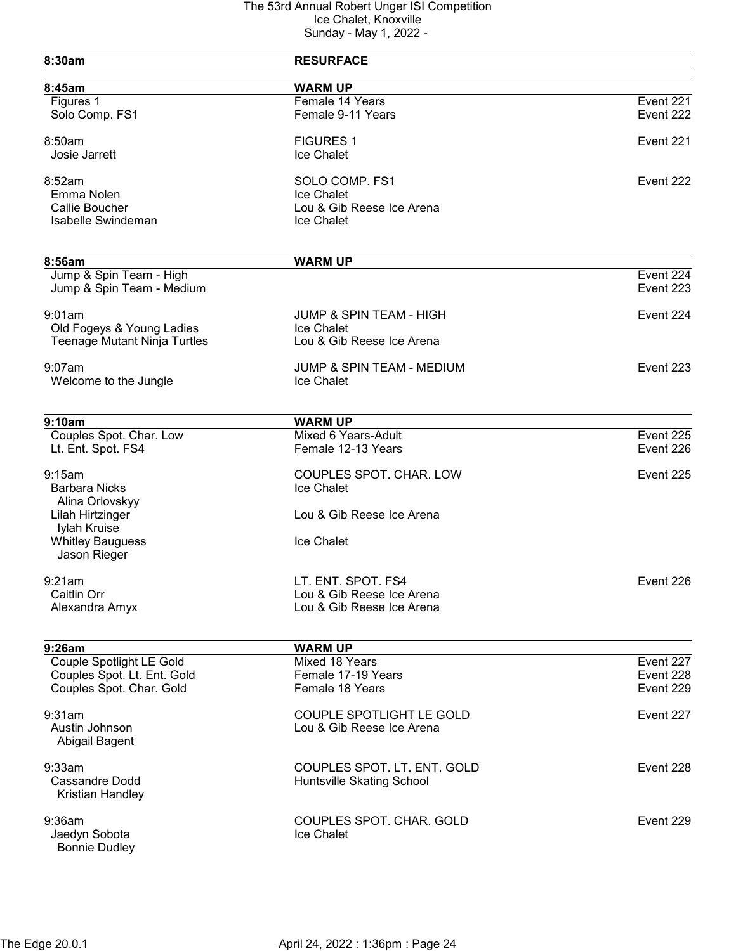| 8:30am                              | <b>RESURFACE</b>                   |           |
|-------------------------------------|------------------------------------|-----------|
| 8:45am                              | <b>WARM UP</b>                     |           |
| Figures 1                           | Female 14 Years                    | Event 221 |
| Solo Comp. FS1                      | Female 9-11 Years                  | Event 222 |
| 8:50am                              | <b>FIGURES 1</b>                   | Event 221 |
| Josie Jarrett                       | Ice Chalet                         |           |
| 8:52am                              | SOLO COMP. FS1                     | Event 222 |
| Emma Nolen                          | Ice Chalet                         |           |
| Callie Boucher                      | Lou & Gib Reese Ice Arena          |           |
| Isabelle Swindeman                  | Ice Chalet                         |           |
|                                     |                                    |           |
| 8:56am<br>Jump & Spin Team - High   | <b>WARM UP</b>                     | Event 224 |
| Jump & Spin Team - Medium           |                                    | Event 223 |
| 9:01am                              | <b>JUMP &amp; SPIN TEAM - HIGH</b> | Event 224 |
| Old Fogeys & Young Ladies           | Ice Chalet                         |           |
| <b>Teenage Mutant Ninja Turtles</b> | Lou & Gib Reese Ice Arena          |           |
| $9:07$ am                           | JUMP & SPIN TEAM - MEDIUM          | Event 223 |
| Welcome to the Jungle               | <b>Ice Chalet</b>                  |           |
| 9:10am                              | <b>WARM UP</b>                     |           |
| Couples Spot. Char. Low             | Mixed 6 Years-Adult                | Event 225 |
| Lt. Ent. Spot. FS4                  | Female 12-13 Years                 | Event 226 |
| 9:15am                              | COUPLES SPOT. CHAR. LOW            | Event 225 |
| <b>Barbara Nicks</b>                | Ice Chalet                         |           |
| Alina Orlovskyy                     |                                    |           |
| Lilah Hirtzinger<br>Iylah Kruise    | Lou & Gib Reese Ice Arena          |           |
| <b>Whitley Bauguess</b>             | Ice Chalet                         |           |
| Jason Rieger                        |                                    |           |
| 9:21am                              | LT. ENT. SPOT. FS4                 | Event 226 |
| Caitlin Orr                         | Lou & Gib Reese Ice Arena          |           |
| Alexandra Amyx                      | Lou & Gib Reese Ice Arena          |           |
| 9:26am                              | <b>WARM UP</b>                     |           |
| Couple Spotlight LE Gold            | Mixed 18 Years                     | Event 227 |
| Couples Spot. Lt. Ent. Gold         | Female 17-19 Years                 | Event 228 |
| Couples Spot. Char. Gold            | Female 18 Years                    | Event 229 |
| 9:31am                              | <b>COUPLE SPOTLIGHT LE GOLD</b>    | Event 227 |
| Austin Johnson                      | Lou & Gib Reese Ice Arena          |           |
| Abigail Bagent                      |                                    |           |
| 9:33am                              | COUPLES SPOT. LT. ENT. GOLD        | Event 228 |
| Cassandre Dodd                      | Huntsville Skating School          |           |
| Kristian Handley                    |                                    |           |
| 9:36am                              | COUPLES SPOT. CHAR. GOLD           | Event 229 |
| Jaedyn Sobota                       | Ice Chalet                         |           |
| <b>Bonnie Dudley</b>                |                                    |           |
|                                     |                                    |           |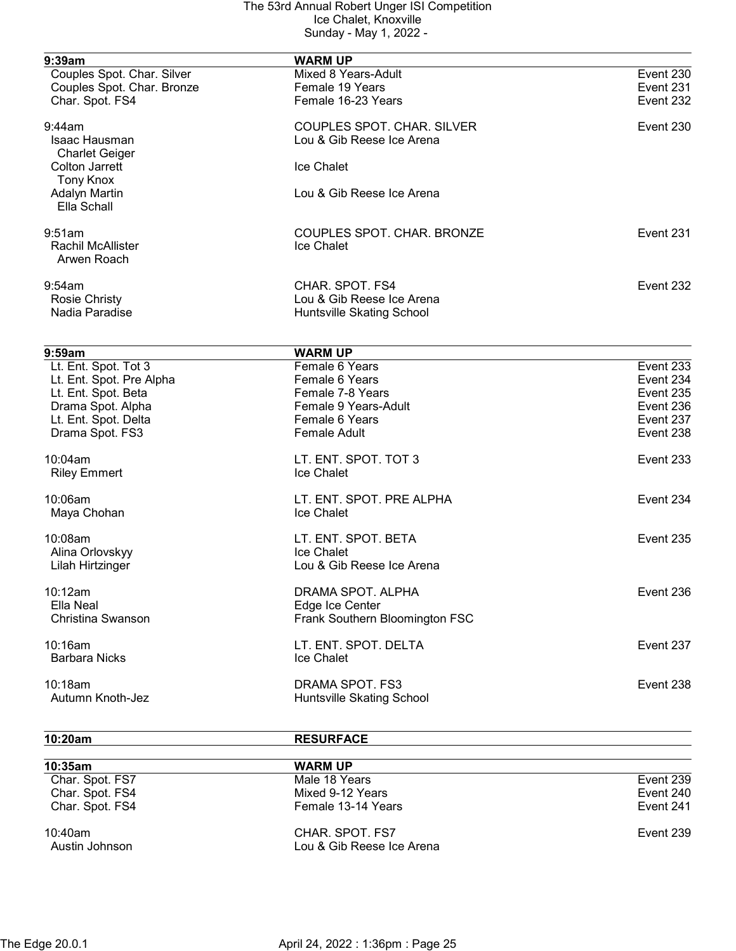| 9:39am                     | <b>WARM UP</b>                    |           |
|----------------------------|-----------------------------------|-----------|
| Couples Spot. Char. Silver | Mixed 8 Years-Adult               | Event 230 |
| Couples Spot. Char. Bronze | Female 19 Years                   | Event 231 |
| Char. Spot. FS4            | Female 16-23 Years                | Event 232 |
| 9:44am                     | <b>COUPLES SPOT. CHAR. SILVER</b> | Event 230 |
| Isaac Hausman              | Lou & Gib Reese Ice Arena         |           |
| <b>Charlet Geiger</b>      |                                   |           |
| <b>Colton Jarrett</b>      | Ice Chalet                        |           |
| <b>Tony Knox</b>           |                                   |           |
| <b>Adalyn Martin</b>       | Lou & Gib Reese Ice Arena         |           |
| Ella Schall                |                                   |           |
| 9:51am                     | COUPLES SPOT. CHAR. BRONZE        | Event 231 |
| <b>Rachil McAllister</b>   | Ice Chalet                        |           |
| Arwen Roach                |                                   |           |
| 9:54am                     | CHAR. SPOT. FS4                   | Event 232 |
| <b>Rosie Christy</b>       | Lou & Gib Reese Ice Arena         |           |
| Nadia Paradise             | Huntsville Skating School         |           |
|                            |                                   |           |
| 9:59am                     | <b>WARM UP</b>                    |           |
| Lt. Ent. Spot. Tot 3       | Female 6 Years                    | Event 233 |
| Lt. Ent. Spot. Pre Alpha   | Female 6 Years                    | Event 234 |
| Lt. Ent. Spot. Beta        | Female 7-8 Years                  | Event 235 |
| Drama Spot. Alpha          | Female 9 Years-Adult              | Event 236 |
| Lt. Ent. Spot. Delta       | Female 6 Years                    | Event 237 |
| Drama Spot. FS3            | <b>Female Adult</b>               | Event 238 |
| 10:04am                    | LT. ENT. SPOT. TOT 3              | Event 233 |
| <b>Riley Emmert</b>        | Ice Chalet                        |           |
| 10:06am                    | LT. ENT. SPOT. PRE ALPHA          | Event 234 |
| Maya Chohan                | Ice Chalet                        |           |
| 10:08am                    | LT. ENT. SPOT. BETA               | Event 235 |
| Alina Orlovskyy            | Ice Chalet                        |           |
| Lilah Hirtzinger           | Lou & Gib Reese Ice Arena         |           |
| 10:12am                    | DRAMA SPOT. ALPHA                 | Event 236 |
| Ella Neal                  | Edge Ice Center                   |           |
| Christina Swanson          | Frank Southern Bloomington FSC    |           |
| 10:16am                    | LT. ENT. SPOT. DELTA              | Event 237 |
| <b>Barbara Nicks</b>       | Ice Chalet                        |           |
| 10:18am                    | DRAMA SPOT. FS3                   | Event 238 |
| Autumn Knoth-Jez           | Huntsville Skating School         |           |

10:20am RESURFACE

| $10:35$ am                   | <b>WARM UP</b>                               |           |
|------------------------------|----------------------------------------------|-----------|
| Char. Spot. FS7              | Male 18 Years                                | Event 239 |
| Char. Spot. FS4              | Mixed 9-12 Years                             | Event 240 |
| Char. Spot. FS4              | Female 13-14 Years                           | Event 241 |
| $10:40$ am<br>Austin Johnson | CHAR, SPOT, FS7<br>Lou & Gib Reese Ice Arena | Event 239 |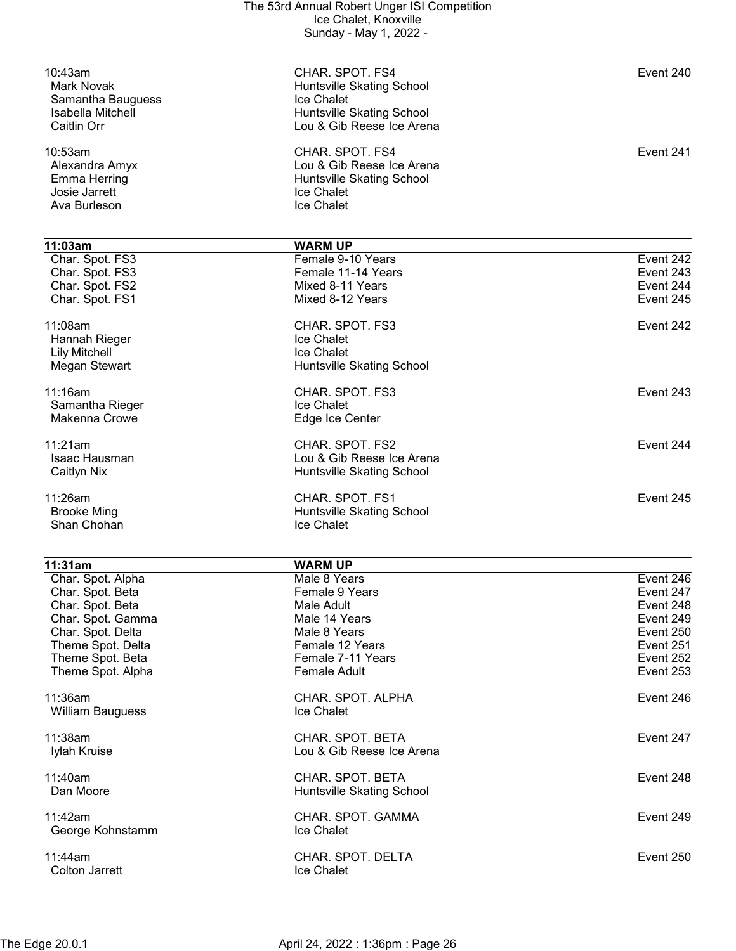| Event 240                                        |
|--------------------------------------------------|
| Event 241                                        |
|                                                  |
| Event 242<br>Event 243<br>Event 244<br>Event 245 |
| Event 242                                        |
| Event 243                                        |
| Event 244                                        |
| Event 245                                        |
|                                                  |

| 11:31am                          | <b>WARM UP</b>                                |           |
|----------------------------------|-----------------------------------------------|-----------|
| Char. Spot. Alpha                | Male 8 Years                                  | Event 246 |
| Char. Spot. Beta                 | Female 9 Years                                | Event 247 |
| Char. Spot. Beta                 | Male Adult                                    | Event 248 |
| Char. Spot. Gamma                | Male 14 Years                                 | Event 249 |
| Char. Spot. Delta                | Male 8 Years                                  | Event 250 |
| Theme Spot. Delta                | Female 12 Years                               | Event 251 |
| Theme Spot. Beta                 | Female 7-11 Years                             | Event 252 |
| Theme Spot. Alpha                | <b>Female Adult</b>                           | Event 253 |
| 11:36am<br>William Bauguess      | CHAR. SPOT. ALPHA<br><b>Ice Chalet</b>        | Event 246 |
| $11:38$ am<br>Iylah Kruise       | CHAR. SPOT. BETA<br>Lou & Gib Reese Ice Arena | Event 247 |
| $11:40$ am<br>Dan Moore          | CHAR. SPOT. BETA<br>Huntsville Skating School | Event 248 |
| 11:42am<br>George Kohnstamm      | CHAR. SPOT. GAMMA<br><b>Ice Chalet</b>        | Event 249 |
| 11:44am<br><b>Colton Jarrett</b> | CHAR. SPOT. DELTA<br><b>Ice Chalet</b>        | Event 250 |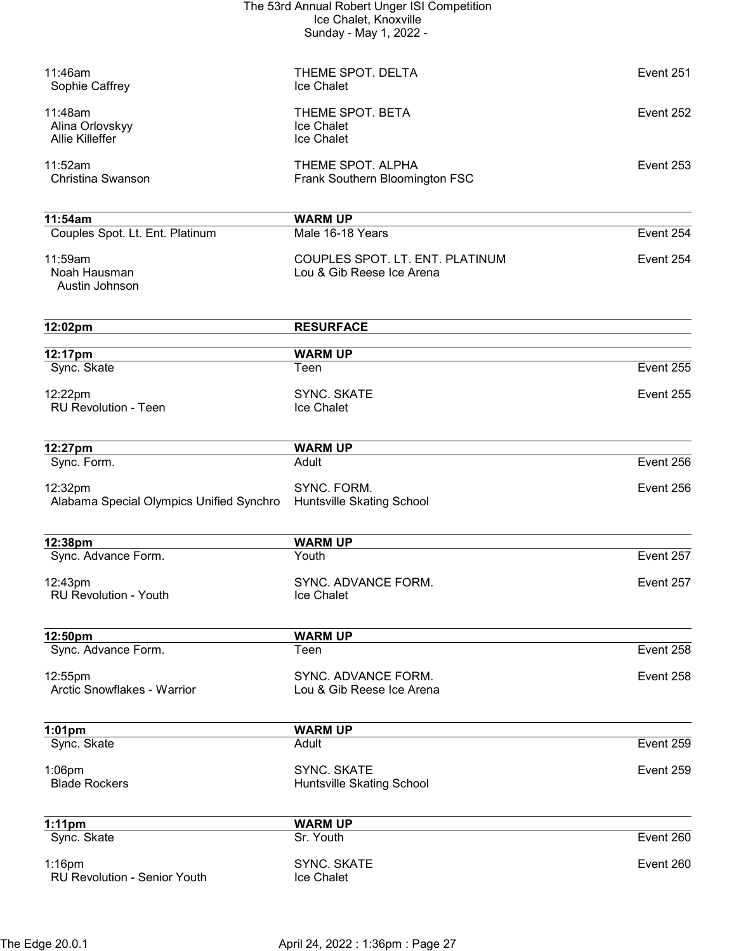| The 53rd Annual Robert Unger ISI Competition |
|----------------------------------------------|
| Ice Chalet, Knoxville                        |
| Sunday - May 1, 2022 -                       |

| 11:46am<br>Sophie Caffrey                            | THEME SPOT. DELTA<br>Ice Chalet                              | Event 251 |
|------------------------------------------------------|--------------------------------------------------------------|-----------|
| 11:48am<br>Alina Orlovskyy<br><b>Allie Killeffer</b> | THEME SPOT. BETA<br>Ice Chalet<br>Ice Chalet                 | Event 252 |
| 11:52am<br>Christina Swanson                         | THEME SPOT. ALPHA<br>Frank Southern Bloomington FSC          | Event 253 |
| 11:54am                                              | <b>WARM UP</b>                                               |           |
| Couples Spot. Lt. Ent. Platinum                      | Male 16-18 Years                                             | Event 254 |
| 11:59am<br>Noah Hausman<br>Austin Johnson            | COUPLES SPOT. LT. ENT. PLATINUM<br>Lou & Gib Reese Ice Arena | Event 254 |
| 12:02pm                                              | <b>RESURFACE</b>                                             |           |
| 12:17pm                                              | <b>WARM UP</b>                                               |           |
| Sync. Skate                                          | Teen                                                         | Event 255 |
| 12:22pm<br><b>RU Revolution - Teen</b>               | <b>SYNC. SKATE</b><br>Ice Chalet                             | Event 255 |
| 12:27pm                                              | <b>WARM UP</b>                                               |           |
| Sync. Form.                                          | Adult                                                        | Event 256 |
| 12:32pm<br>Alabama Special Olympics Unified Synchro  | SYNC. FORM.<br>Huntsville Skating School                     | Event 256 |
| 12:38pm                                              | <b>WARM UP</b>                                               |           |
| Sync. Advance Form.                                  | Youth                                                        | Event 257 |
| 12:43pm<br><b>RU Revolution - Youth</b>              | SYNC. ADVANCE FORM.<br>Ice Chalet                            | Event 257 |
| 12:50pm                                              | <b>WARM UP</b>                                               |           |
| Sync. Advance Form.                                  | Teen                                                         | Event 258 |
| 12:55pm<br>Arctic Snowflakes - Warrior               | SYNC. ADVANCE FORM.<br>Lou & Gib Reese Ice Arena             | Event 258 |
| $1:01$ pm                                            | <b>WARM UP</b>                                               |           |
| Sync. Skate                                          | Adult                                                        | Event 259 |
| $1:06$ pm<br><b>Blade Rockers</b>                    | <b>SYNC. SKATE</b><br>Huntsville Skating School              | Event 259 |
| $1:11$ pm                                            | <b>WARM UP</b>                                               |           |
| Sync. Skate                                          | Sr. Youth                                                    | Event 260 |
| $1:16$ pm<br><b>RU Revolution - Senior Youth</b>     | <b>SYNC. SKATE</b><br>Ice Chalet                             | Event 260 |